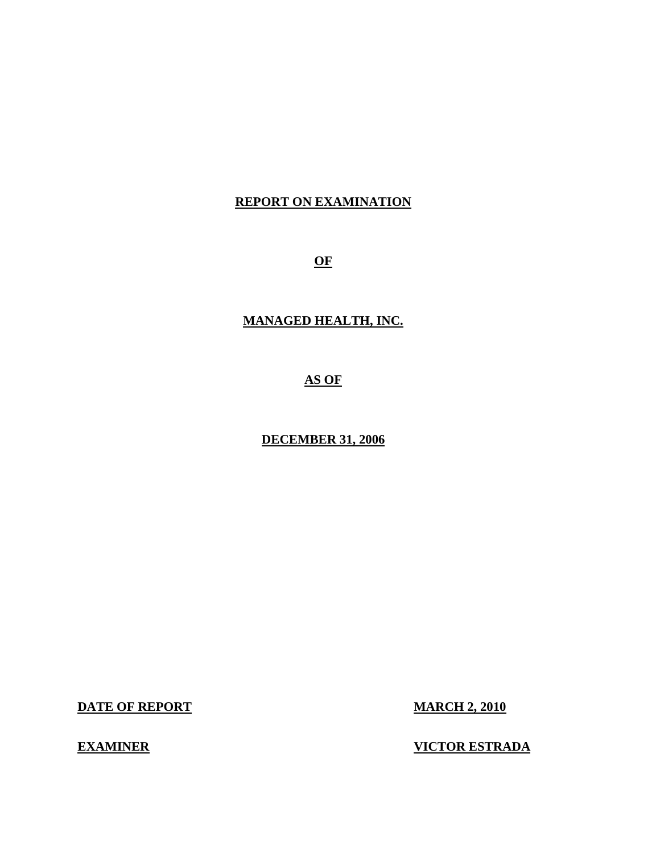## **REPORT ON EXAMINATION**

 **OF**

## **MANAGED HEALTH, INC.**

## **AS OF**

#### **DECEMBER 31, 2006**

**DATE OF REPORT MARCH 2, 2010** 

## **EXAMINER**

### **VICTOR ESTRADA**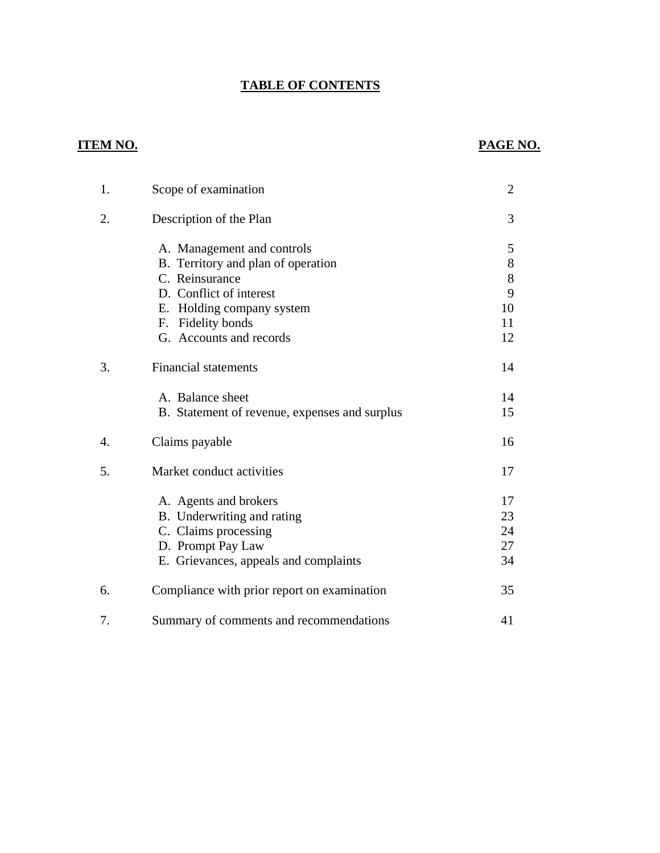# **TABLE OF CONTENTS**

# **ITEM NO.**

# **PAGE NO.**

| 1. | Scope of examination                          | $\overline{2}$ |
|----|-----------------------------------------------|----------------|
| 2. | Description of the Plan                       | 3              |
|    | A. Management and controls                    | 5              |
|    | B. Territory and plan of operation            | $8\,$          |
|    | C. Reinsurance                                | 8              |
|    | D. Conflict of interest                       | 9              |
|    | E. Holding company system                     | 10             |
|    | F. Fidelity bonds                             | 11             |
|    | G. Accounts and records                       | 12             |
| 3. | <b>Financial statements</b>                   | 14             |
|    | A. Balance sheet                              | 14             |
|    | B. Statement of revenue, expenses and surplus | 15             |
| 4. | Claims payable                                | 16             |
| 5. | Market conduct activities                     | 17             |
|    | A. Agents and brokers                         | 17             |
|    | B. Underwriting and rating                    | 23             |
|    | C. Claims processing                          | 24             |
|    | D. Prompt Pay Law                             | 27             |
|    | E. Grievances, appeals and complaints         | 34             |
| 6. | Compliance with prior report on examination   | 35             |
| 7. | Summary of comments and recommendations       | 41             |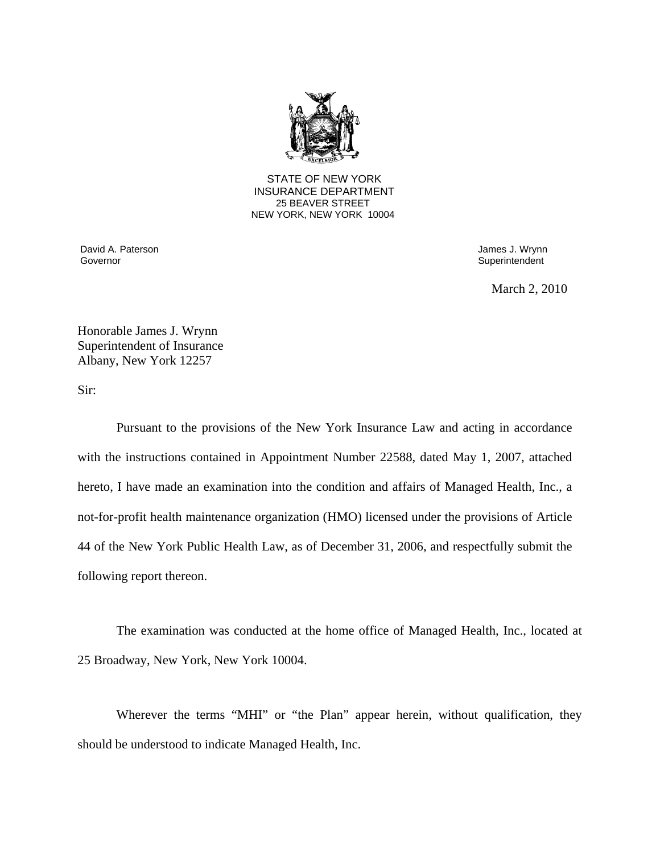

 STATE OF NEW YORK INSURANCE DEPARTMENT 25 BEAVER STREET NEW YORK, NEW YORK 10004

David A. Paterson **David A. Paterson** James J. Wrynn Governor Superintendent Superintendent Superintendent Superintendent Superintendent Superintendent Superintendent

March 2, 2010

 Honorable James J. Wrynn Superintendent of Insurance Albany, New York 12257

Sir:

Pursuant to the provisions of the New York Insurance Law and acting in accordance with the instructions contained in Appointment Number 22588, dated May 1, 2007, attached hereto, I have made an examination into the condition and affairs of Managed Health, Inc., a not-for-profit health maintenance organization (HMO) licensed under the provisions of Article 44 of the New York Public Health Law, as of December 31, 2006, and respectfully submit the following report thereon.

The examination was conducted at the home office of Managed Health, Inc., located at 25 Broadway, New York, New York 10004.

Wherever the terms "MHI" or "the Plan" appear herein, without qualification, they should be understood to indicate Managed Health, Inc.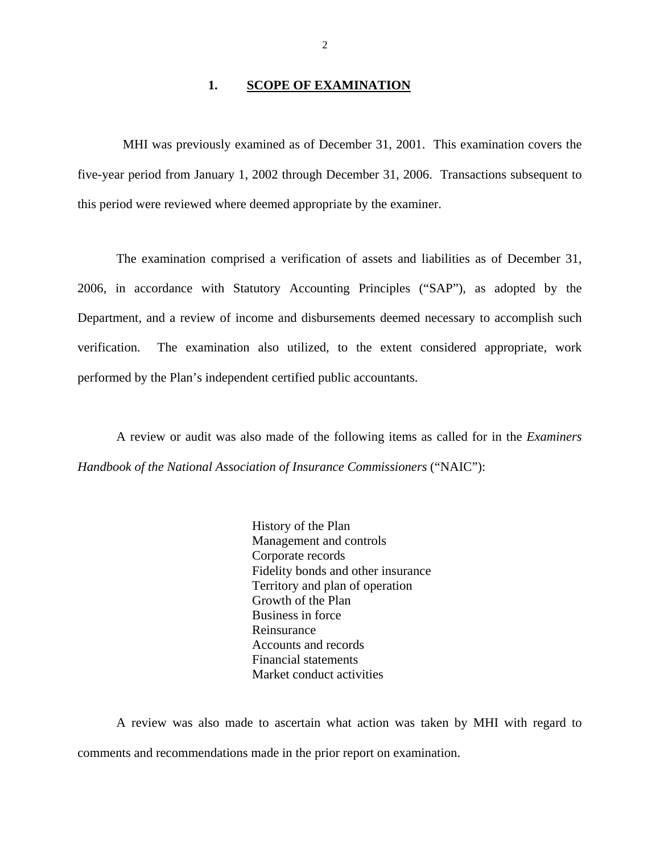#### 1. **SCOPE OF EXAMINATION**

<span id="page-3-0"></span>MHI was previously examined as of December 31, 2001. This examination covers the five-year period from January 1, 2002 through December 31, 2006. Transactions subsequent to this period were reviewed where deemed appropriate by the examiner.

The examination comprised a verification of assets and liabilities as of December 31, 2006, in accordance with Statutory Accounting Principles ("SAP"), as adopted by the Department, and a review of income and disbursements deemed necessary to accomplish such verification. The examination also utilized, to the extent considered appropriate, work performed by the Plan's independent certified public accountants.

A review or audit was also made of the following items as called for in the *Examiners Handbook of the National Association of Insurance Commissioners* ("NAIC"):

> History of the Plan Management and controls Corporate records Fidelity bonds and other insurance Territory and plan of operation Growth of the Plan Business in force Reinsurance Accounts and records Financial statements Market conduct activities

A review was also made to ascertain what action was taken by MHI with regard to comments and recommendations made in the prior report on examination.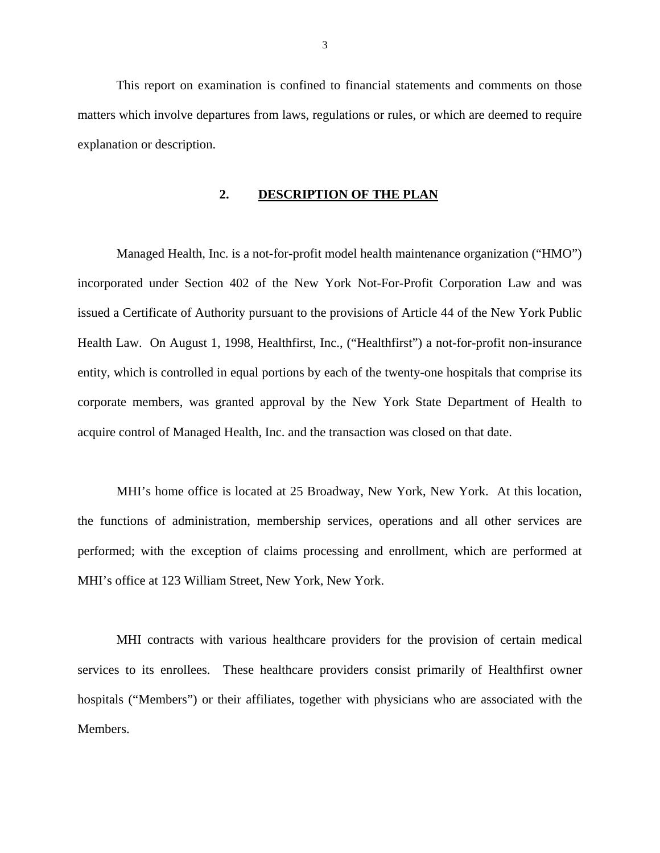<span id="page-4-0"></span>This report on examination is confined to financial statements and comments on those matters which involve departures from laws, regulations or rules, or which are deemed to require explanation or description.

#### **2. DESCRIPTION OF THE PLAN**

Managed Health, Inc. is a not-for-profit model health maintenance organization ("HMO") incorporated under Section 402 of the New York Not-For-Profit Corporation Law and was issued a Certificate of Authority pursuant to the provisions of Article 44 of the New York Public Health Law. On August 1, 1998, Healthfirst, Inc., ("Healthfirst") a not-for-profit non-insurance entity, which is controlled in equal portions by each of the twenty-one hospitals that comprise its corporate members, was granted approval by the New York State Department of Health to acquire control of Managed Health, Inc. and the transaction was closed on that date.

MHI's home office is located at 25 Broadway, New York, New York. At this location, the functions of administration, membership services, operations and all other services are performed; with the exception of claims processing and enrollment, which are performed at MHI's office at 123 William Street, New York, New York.

MHI contracts with various healthcare providers for the provision of certain medical services to its enrollees. These healthcare providers consist primarily of Healthfirst owner hospitals ("Members") or their affiliates, together with physicians who are associated with the Members.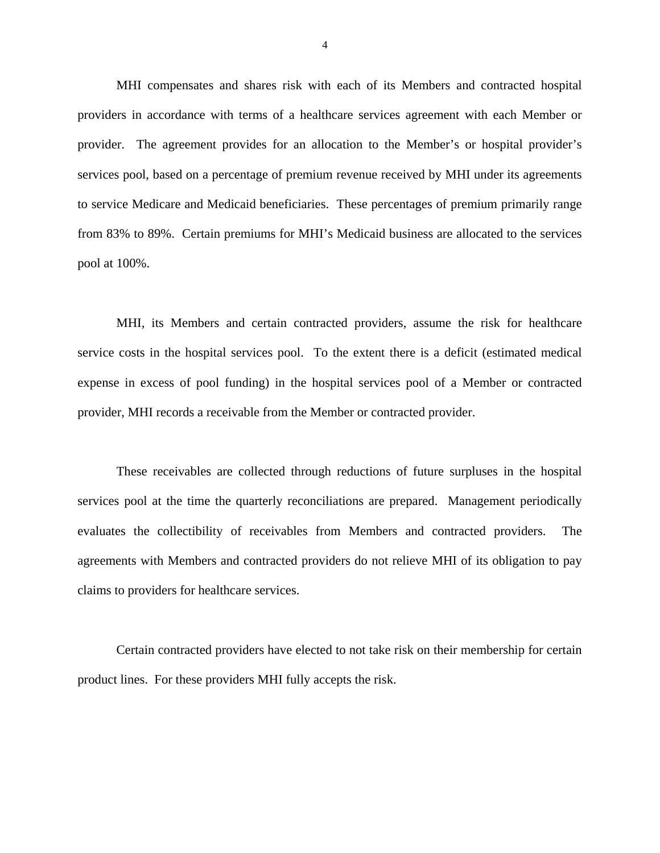MHI compensates and shares risk with each of its Members and contracted hospital providers in accordance with terms of a healthcare services agreement with each Member or provider. The agreement provides for an allocation to the Member's or hospital provider's services pool, based on a percentage of premium revenue received by MHI under its agreements to service Medicare and Medicaid beneficiaries. These percentages of premium primarily range from 83% to 89%. Certain premiums for MHI's Medicaid business are allocated to the services pool at 100%.

MHI, its Members and certain contracted providers, assume the risk for healthcare service costs in the hospital services pool. To the extent there is a deficit (estimated medical expense in excess of pool funding) in the hospital services pool of a Member or contracted provider, MHI records a receivable from the Member or contracted provider.

These receivables are collected through reductions of future surpluses in the hospital services pool at the time the quarterly reconciliations are prepared. Management periodically evaluates the collectibility of receivables from Members and contracted providers. The agreements with Members and contracted providers do not relieve MHI of its obligation to pay claims to providers for healthcare services.

Certain contracted providers have elected to not take risk on their membership for certain product lines. For these providers MHI fully accepts the risk.

4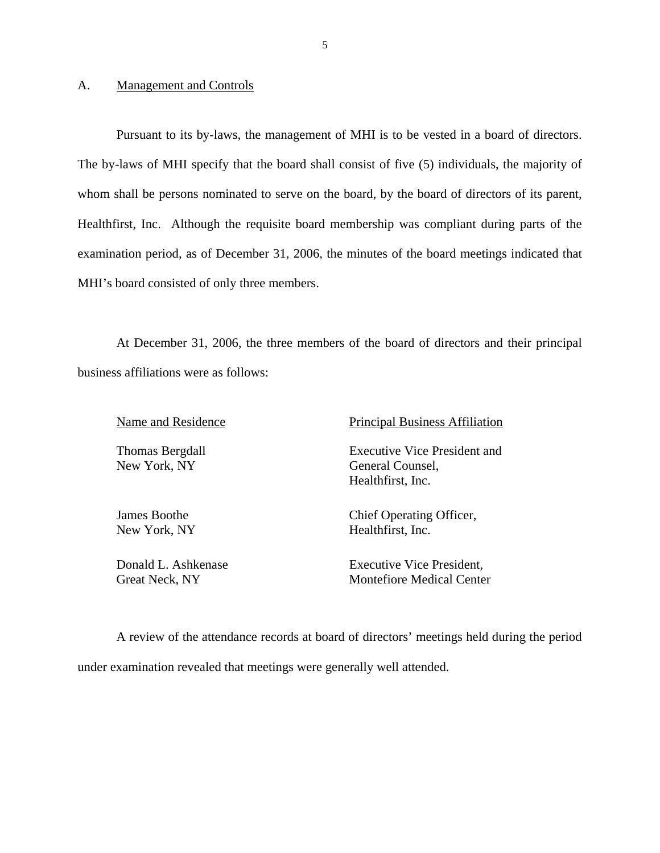#### A. Management and Controls

Pursuant to its by-laws, the management of MHI is to be vested in a board of directors. The by-laws of MHI specify that the board shall consist of five (5) individuals, the majority of whom shall be persons nominated to serve on the board, by the board of directors of its parent, Healthfirst, Inc. Although the requisite board membership was compliant during parts of the examination period, as of December 31, 2006, the minutes of the board meetings indicated that MHI's board consisted of only three members.

At December 31, 2006, the three members of the board of directors and their principal business affiliations were as follows:

Thomas Bergdall New York, NY

James Boothe New York, NY

Donald L. Ashkenase Great Neck, NY

Name and Residence Principal Business Affiliation

 Healthfirst, Inc. Executive Vice President and General Counsel,

> Chief Operating Officer, Healthfirst, Inc.

Executive Vice President, Montefiore Medical Center

A review of the attendance records at board of directors' meetings held during the period under examination revealed that meetings were generally well attended.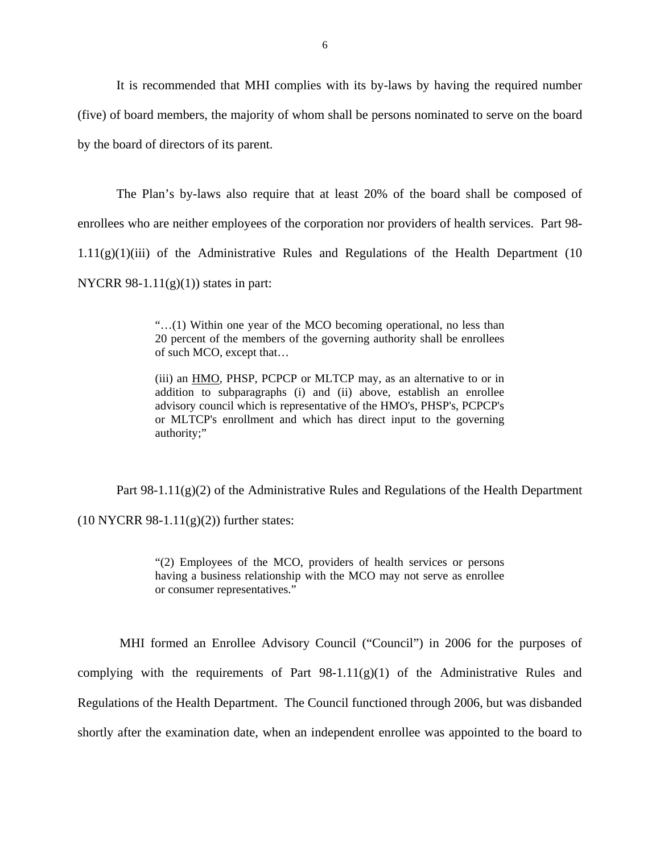It is recommended that MHI complies with its by-laws by having the required number (five) of board members, the majority of whom shall be persons nominated to serve on the board by the board of directors of its parent.

The Plan's by-laws also require that at least 20% of the board shall be composed of enrollees who are neither employees of the corporation nor providers of health services. Part 98-  $1.11(g)(1)(iii)$  of the Administrative Rules and Regulations of the Health Department (10 NYCRR 98-1.11 $(g)(1)$ ) states in part:

> "…(1) Within one year of the MCO becoming operational, no less than 20 percent of the members of the governing authority shall be enrollees of such MCO, except that…

> (iii) an HMO, PHSP, PCPCP or MLTCP may, as an alternative to or in addition to subparagraphs (i) and (ii) above, establish an enrollee advisory council which is representative of the HMO's, PHSP's, PCPCP's or MLTCP's enrollment and which has direct input to the governing authority;"

Part  $98-1.11(g)(2)$  of the Administrative Rules and Regulations of the Health Department

 $(10 \text{ NYCRR } 98-1.11(g)(2))$  further states:

"(2) Employees of the MCO, providers of health services or persons having a business relationship with the MCO may not serve as enrollee or consumer representatives."

MHI formed an Enrollee Advisory Council ("Council") in 2006 for the purposes of complying with the requirements of Part  $98-1.11(g)(1)$  of the Administrative Rules and Regulations of the Health Department. The Council functioned through 2006, but was disbanded shortly after the examination date, when an independent enrollee was appointed to the board to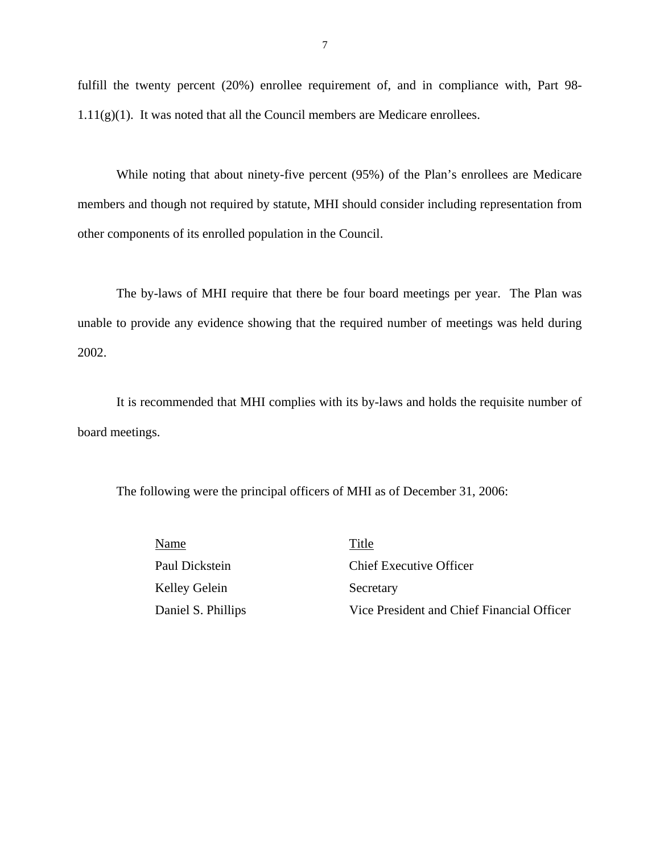fulfill the twenty percent (20%) enrollee requirement of, and in compliance with, Part 98- 1.11(g)(1). It was noted that all the Council members are Medicare enrollees.

While noting that about ninety-five percent (95%) of the Plan's enrollees are Medicare members and though not required by statute, MHI should consider including representation from other components of its enrolled population in the Council.

The by-laws of MHI require that there be four board meetings per year. The Plan was unable to provide any evidence showing that the required number of meetings was held during 2002.

It is recommended that MHI complies with its by-laws and holds the requisite number of board meetings.

The following were the principal officers of MHI as of December 31, 2006:

| Name               | Title                                      |
|--------------------|--------------------------------------------|
| Paul Dickstein     | <b>Chief Executive Officer</b>             |
| Kelley Gelein      | Secretary                                  |
| Daniel S. Phillips | Vice President and Chief Financial Officer |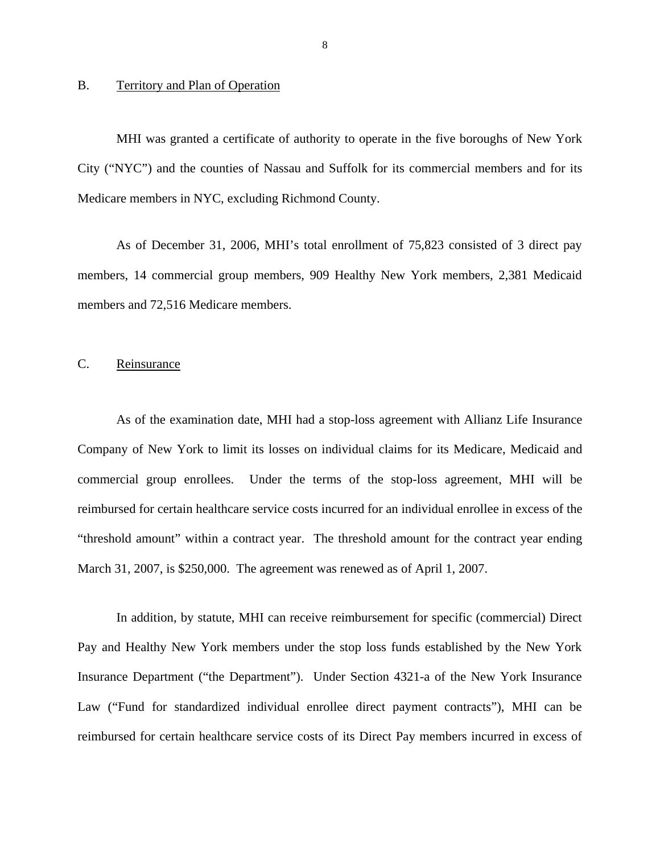#### <span id="page-9-0"></span>B. Territory and Plan of Operation

MHI was granted a certificate of authority to operate in the five boroughs of New York City ("NYC") and the counties of Nassau and Suffolk for its commercial members and for its Medicare members in NYC, excluding Richmond County.

As of December 31, 2006, MHI's total enrollment of 75,823 consisted of 3 direct pay members, 14 commercial group members, 909 Healthy New York members, 2,381 Medicaid members and 72,516 Medicare members.

#### C. Reinsurance

As of the examination date, MHI had a stop-loss agreement with Allianz Life Insurance Company of New York to limit its losses on individual claims for its Medicare, Medicaid and commercial group enrollees. Under the terms of the stop-loss agreement, MHI will be reimbursed for certain healthcare service costs incurred for an individual enrollee in excess of the "threshold amount" within a contract year. The threshold amount for the contract year ending March 31, 2007, is \$250,000. The agreement was renewed as of April 1, 2007.

In addition, by statute, MHI can receive reimbursement for specific (commercial) Direct Pay and Healthy New York members under the stop loss funds established by the New York Insurance Department ("the Department"). Under Section 4321-a of the New York Insurance Law ("Fund for standardized individual enrollee direct payment contracts"), MHI can be reimbursed for certain healthcare service costs of its Direct Pay members incurred in excess of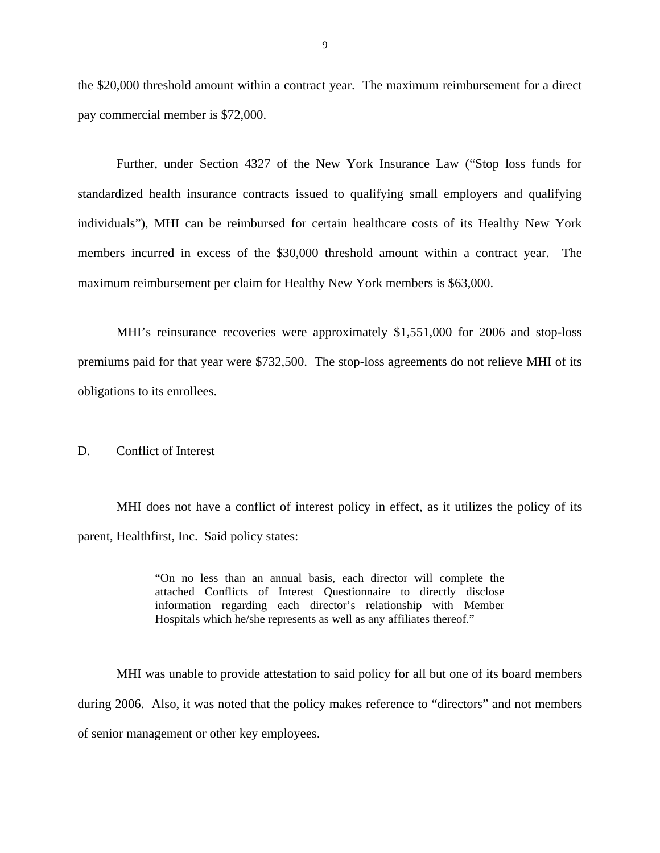<span id="page-10-0"></span>the \$20,000 threshold amount within a contract year. The maximum reimbursement for a direct pay commercial member is \$72,000.

Further, under Section 4327 of the New York Insurance Law ("Stop loss funds for standardized health insurance contracts issued to qualifying small employers and qualifying individuals"), MHI can be reimbursed for certain healthcare costs of its Healthy New York members incurred in excess of the \$30,000 threshold amount within a contract year. The maximum reimbursement per claim for Healthy New York members is \$63,000.

MHI's reinsurance recoveries were approximately \$1,551,000 for 2006 and stop-loss premiums paid for that year were \$732,500. The stop-loss agreements do not relieve MHI of its obligations to its enrollees.

#### D. Conflict of Interest

MHI does not have a conflict of interest policy in effect, as it utilizes the policy of its parent, Healthfirst, Inc. Said policy states:

> "On no less than an annual basis, each director will complete the attached Conflicts of Interest Questionnaire to directly disclose information regarding each director's relationship with Member Hospitals which he/she represents as well as any affiliates thereof."

MHI was unable to provide attestation to said policy for all but one of its board members during 2006. Also, it was noted that the policy makes reference to "directors" and not members of senior management or other key employees.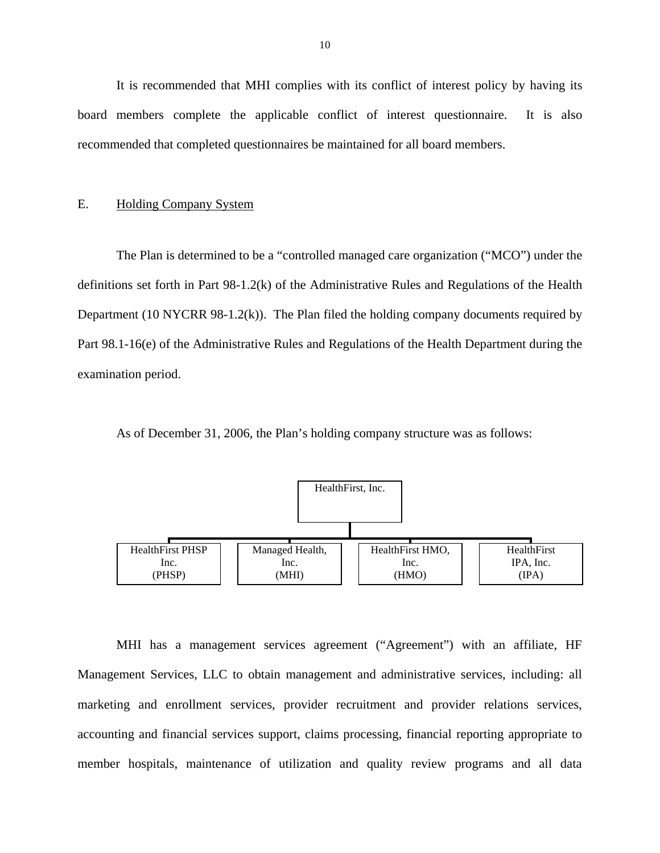<span id="page-11-0"></span>It is recommended that MHI complies with its conflict of interest policy by having its board members complete the applicable conflict of interest questionnaire. It is also recommended that completed questionnaires be maintained for all board members.

#### E. Holding Company System

The Plan is determined to be a "controlled managed care organization ("MCO") under the definitions set forth in Part 98-1.2(k) of the Administrative Rules and Regulations of the Health Department (10 NYCRR 98-1.2(k)). The Plan filed the holding company documents required by Part 98.1-16(e) of the Administrative Rules and Regulations of the Health Department during the examination period.

As of December 31, 2006, the Plan's holding company structure was as follows:



MHI has a management services agreement ("Agreement") with an affiliate, HF Management Services, LLC to obtain management and administrative services, including: all marketing and enrollment services, provider recruitment and provider relations services, accounting and financial services support, claims processing, financial reporting appropriate to member hospitals, maintenance of utilization and quality review programs and all data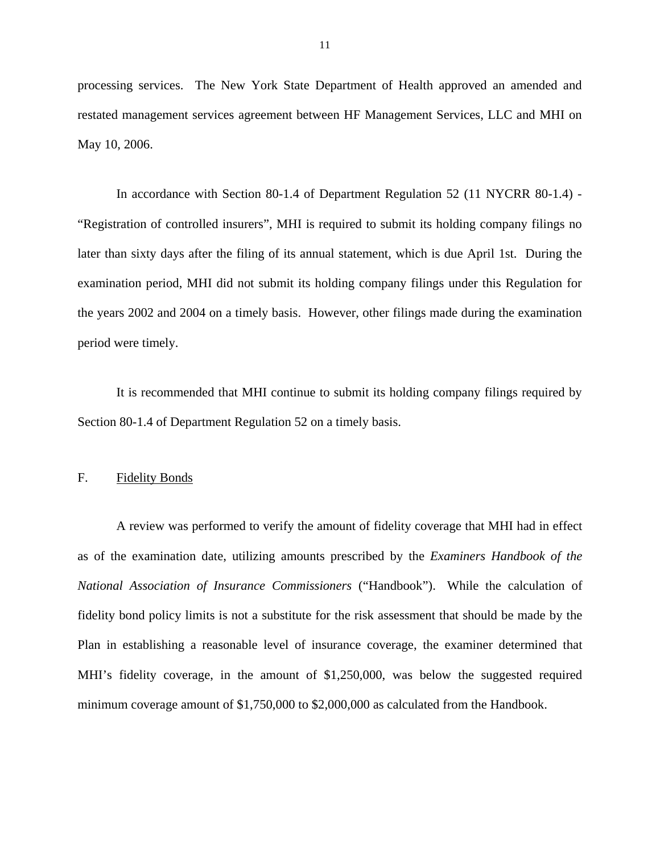<span id="page-12-0"></span>processing services. The New York State Department of Health approved an amended and restated management services agreement between HF Management Services, LLC and MHI on May 10, 2006.

In accordance with Section 80-1.4 of Department Regulation 52 (11 NYCRR 80-1.4) - "Registration of controlled insurers", MHI is required to submit its holding company filings no later than sixty days after the filing of its annual statement, which is due April 1st. During the examination period, MHI did not submit its holding company filings under this Regulation for the years 2002 and 2004 on a timely basis. However, other filings made during the examination period were timely.

It is recommended that MHI continue to submit its holding company filings required by Section 80-1.4 of Department Regulation 52 on a timely basis.

#### F. Fidelity Bonds

 *National Association of Insurance Commissioners* ("Handbook"). While the calculation of A review was performed to verify the amount of fidelity coverage that MHI had in effect as of the examination date, utilizing amounts prescribed by the *Examiners Handbook of the*  fidelity bond policy limits is not a substitute for the risk assessment that should be made by the Plan in establishing a reasonable level of insurance coverage, the examiner determined that MHI's fidelity coverage, in the amount of \$1,250,000, was below the suggested required minimum coverage amount of \$1,750,000 to \$2,000,000 as calculated from the Handbook.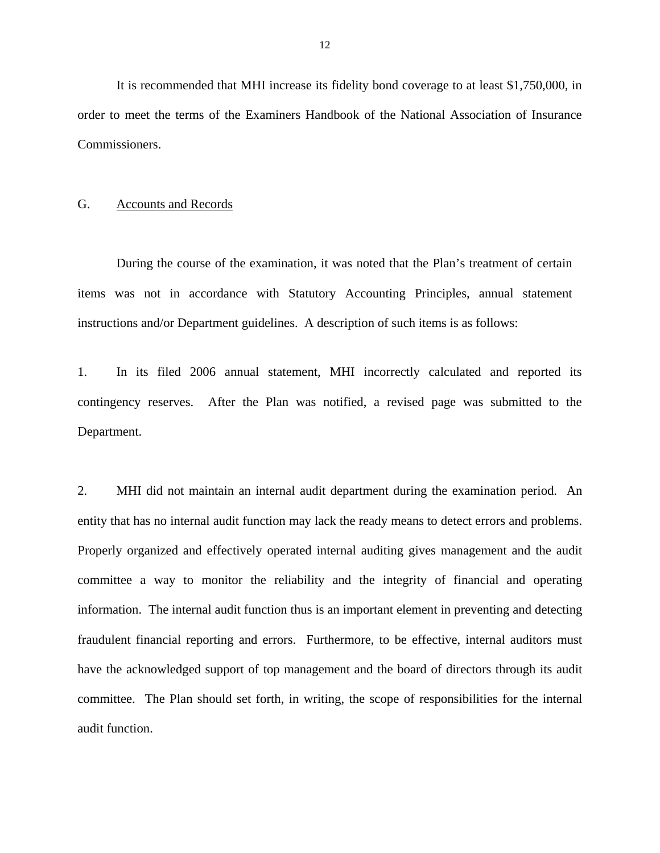<span id="page-13-0"></span>It is recommended that MHI increase its fidelity bond coverage to at least \$1,750,000, in order to meet the terms of the Examiners Handbook of the National Association of Insurance Commissioners.

#### G. Accounts and Records

During the course of the examination, it was noted that the Plan's treatment of certain items was not in accordance with Statutory Accounting Principles, annual statement instructions and/or Department guidelines. A description of such items is as follows:

1. In its filed 2006 annual statement, MHI incorrectly calculated and reported its contingency reserves. After the Plan was notified, a revised page was submitted to the Department.

 entity that has no internal audit function may lack the ready means to detect errors and problems. Properly organized and effectively operated internal auditing gives management and the audit 2. MHI did not maintain an internal audit department during the examination period. An committee a way to monitor the reliability and the integrity of financial and operating information. The internal audit function thus is an important element in preventing and detecting fraudulent financial reporting and errors. Furthermore, to be effective, internal auditors must have the acknowledged support of top management and the board of directors through its audit committee. The Plan should set forth, in writing, the scope of responsibilities for the internal audit function.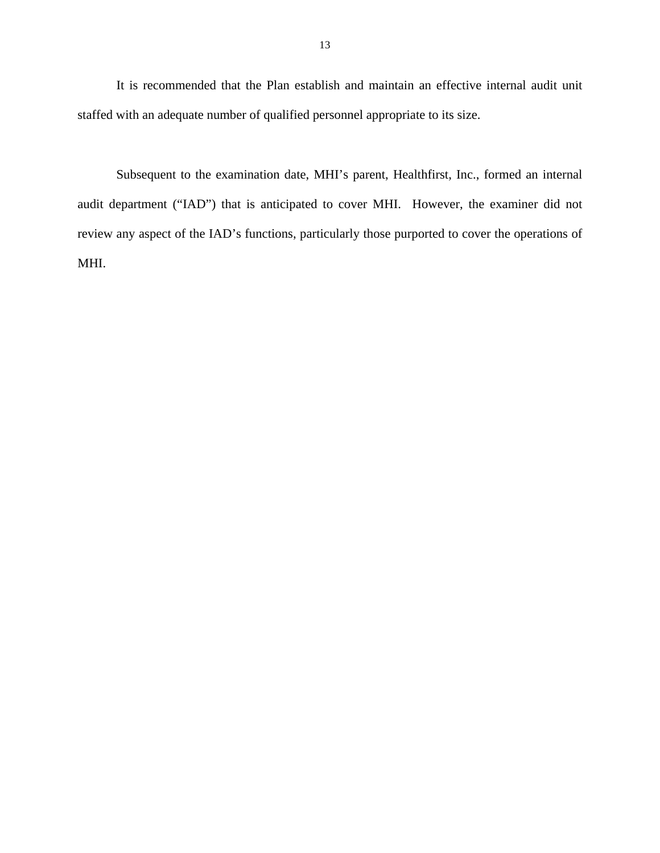It is recommended that the Plan establish and maintain an effective internal audit unit staffed with an adequate number of qualified personnel appropriate to its size.

Subsequent to the examination date, MHI's parent, Healthfirst, Inc., formed an internal audit department ("IAD") that is anticipated to cover MHI. However, the examiner did not review any aspect of the IAD's functions, particularly those purported to cover the operations of MHI.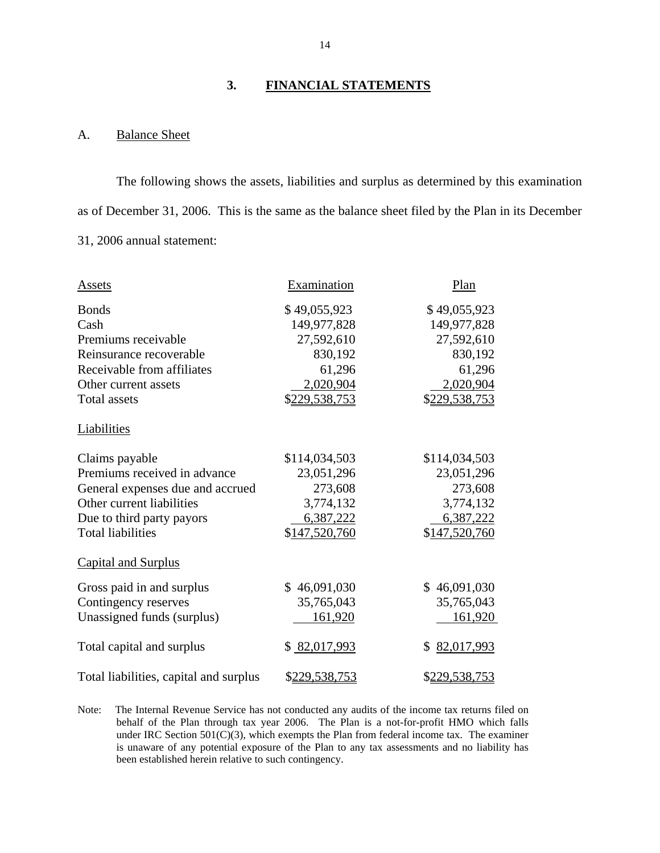#### **3. FINANCIAL STATEMENTS**

#### A. Balance Sheet

The following shows the assets, liabilities and surplus as determined by this examination as of December 31, 2006. This is the same as the balance sheet filed by the Plan in its December 31, 2006 annual statement:

| Assets                                 | Examination   | Plan             |
|----------------------------------------|---------------|------------------|
| <b>Bonds</b>                           | \$49,055,923  | \$49,055,923     |
| Cash                                   | 149,977,828   | 149,977,828      |
| Premiums receivable                    | 27,592,610    | 27,592,610       |
| Reinsurance recoverable                | 830,192       | 830,192          |
| Receivable from affiliates             | 61,296        | 61,296           |
| Other current assets                   | 2,020,904     | 2,020,904        |
| <b>Total assets</b>                    | \$229,538,753 | \$229,538,753    |
| Liabilities                            |               |                  |
| Claims payable                         | \$114,034,503 | \$114,034,503    |
| Premiums received in advance           | 23,051,296    | 23,051,296       |
| General expenses due and accrued       | 273,608       | 273,608          |
| Other current liabilities              | 3,774,132     | 3,774,132        |
| Due to third party payors              | 6,387,222     | 6,387,222        |
| <b>Total liabilities</b>               | \$147,520,760 | \$147,520,760    |
| <b>Capital and Surplus</b>             |               |                  |
| Gross paid in and surplus              | \$46,091,030  | \$46,091,030     |
| Contingency reserves                   | 35,765,043    | 35,765,043       |
| Unassigned funds (surplus)             | 161,920       | 161,920          |
| Total capital and surplus              | \$82,017,993  | 82,017,993<br>\$ |
| Total liabilities, capital and surplus | \$229,538,753 | \$229,538,753    |

 been established herein relative to such contingency. Note: The Internal Revenue Service has not conducted any audits of the income tax returns filed on behalf of the Plan through tax year 2006. The Plan is a not-for-profit HMO which falls under IRC Section  $501(C)(3)$ , which exempts the Plan from federal income tax. The examiner is unaware of any potential exposure of the Plan to any tax assessments and no liability has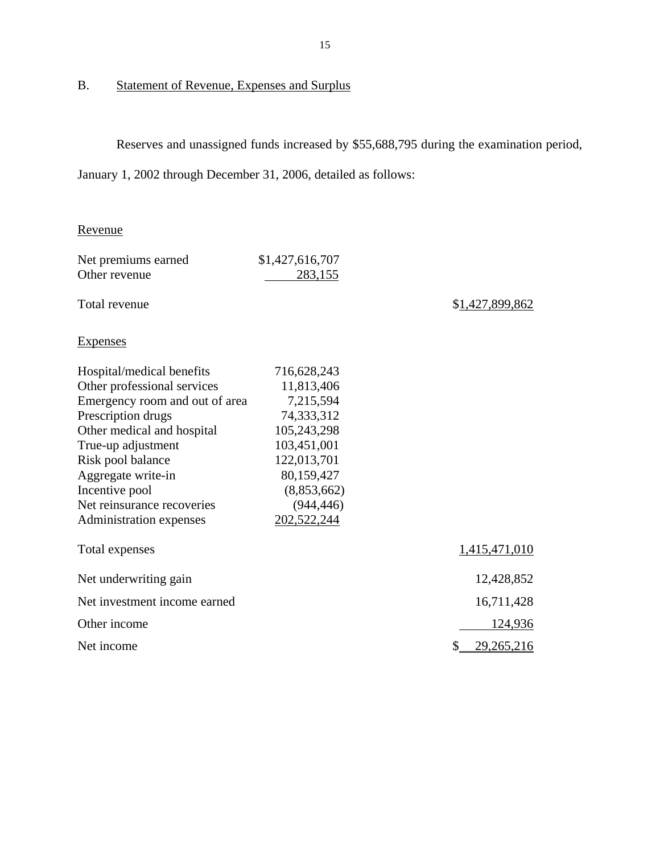# B. Statement of Revenue, Expenses and Surplus

Reserves and unassigned funds increased by \$55,688,795 during the examination period,

January 1, 2002 through December 31, 2006, detailed as follows:

## Revenue

| Net premiums earned            | \$1,427,616,707 |                  |
|--------------------------------|-----------------|------------------|
| Other revenue                  | 283,155         |                  |
| Total revenue                  |                 | \$1,427,899,862  |
| <b>Expenses</b>                |                 |                  |
| Hospital/medical benefits      | 716,628,243     |                  |
| Other professional services    | 11,813,406      |                  |
| Emergency room and out of area | 7,215,594       |                  |
| Prescription drugs             | 74,333,312      |                  |
| Other medical and hospital     | 105,243,298     |                  |
| True-up adjustment             | 103,451,001     |                  |
| Risk pool balance              | 122,013,701     |                  |
| Aggregate write-in             | 80,159,427      |                  |
| Incentive pool                 | (8,853,662)     |                  |
| Net reinsurance recoveries     | (944, 446)      |                  |
| Administration expenses        | 202,522,244     |                  |
| Total expenses                 |                 | 1,415,471,010    |
| Net underwriting gain          |                 | 12,428,852       |
| Net investment income earned   |                 | 16,711,428       |
| Other income                   |                 | 124,936          |
| Net income                     |                 | \$<br>29,265,216 |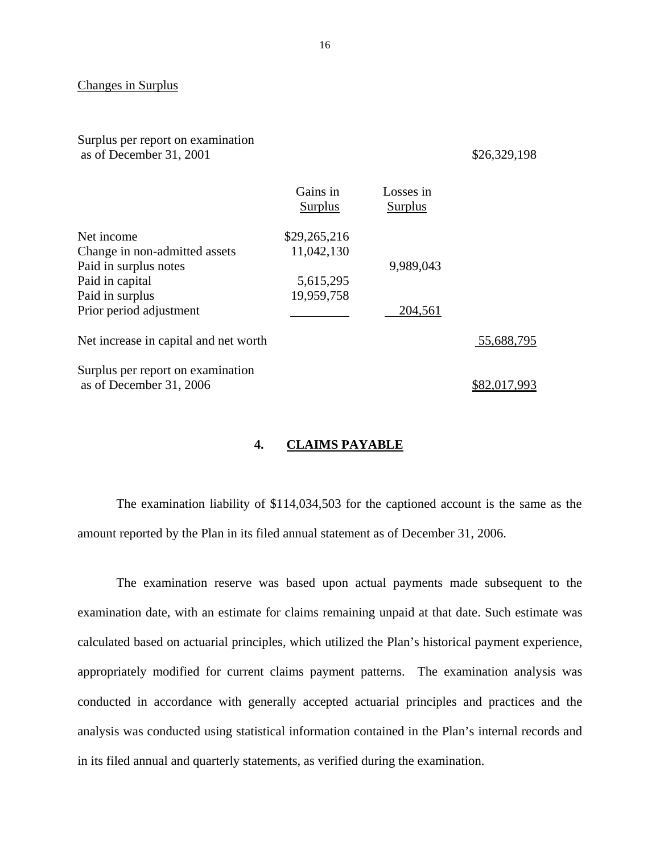#### **Changes in Surplus**

Surplus per report on examination as of December 31, 2001 \$26,329,198

|                                                              | Gains in<br>Surplus | Losses in<br>Surplus |            |
|--------------------------------------------------------------|---------------------|----------------------|------------|
| Net income                                                   | \$29,265,216        |                      |            |
| Change in non-admitted assets                                | 11,042,130          |                      |            |
| Paid in surplus notes                                        |                     | 9,989,043            |            |
| Paid in capital                                              | 5,615,295           |                      |            |
| Paid in surplus                                              | 19,959,758          |                      |            |
| Prior period adjustment                                      |                     | 204,561              |            |
| Net increase in capital and net worth                        |                     |                      | 55,688,795 |
| Surplus per report on examination<br>as of December 31, 2006 |                     |                      |            |

#### **4. CLAIMS PAYABLE**

The examination liability of \$114,034,503 for the captioned account is the same as the amount reported by the Plan in its filed annual statement as of December 31, 2006.

The examination reserve was based upon actual payments made subsequent to the examination date, with an estimate for claims remaining unpaid at that date. Such estimate was calculated based on actuarial principles, which utilized the Plan's historical payment experience, appropriately modified for current claims payment patterns. The examination analysis was conducted in accordance with generally accepted actuarial principles and practices and the analysis was conducted using statistical information contained in the Plan's internal records and in its filed annual and quarterly statements, as verified during the examination.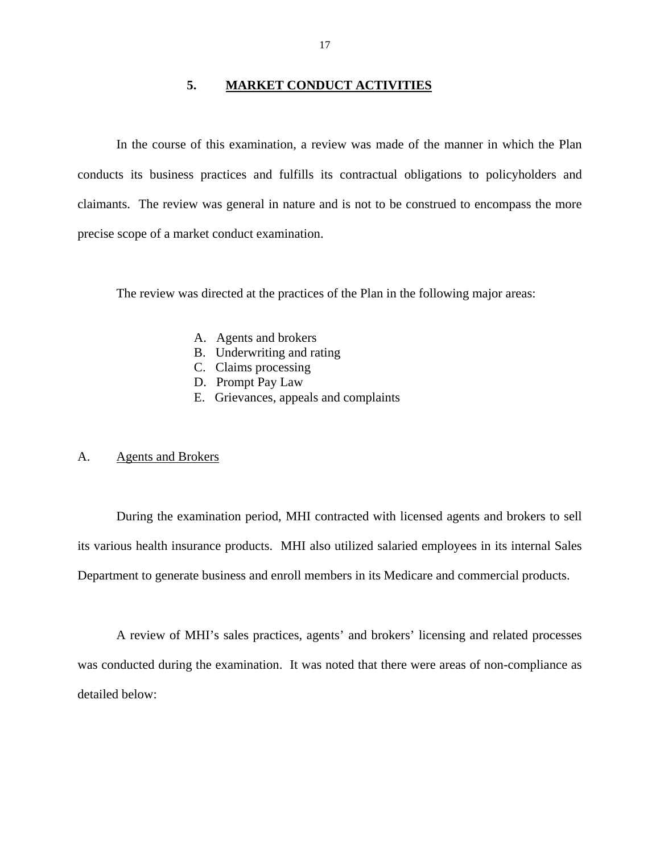#### **5. MARKET CONDUCT ACTIVITIES**

<span id="page-18-0"></span>In the course of this examination, a review was made of the manner in which the Plan conducts its business practices and fulfills its contractual obligations to policyholders and claimants. The review was general in nature and is not to be construed to encompass the more precise scope of a market conduct examination.

The review was directed at the practices of the Plan in the following major areas:

- A. Agents and brokers
- B. Underwriting and rating
- C. Claims processing
- D. Prompt Pay Law
- E. Grievances, appeals and complaints

#### A. Agents and Brokers

During the examination period, MHI contracted with licensed agents and brokers to sell its various health insurance products. MHI also utilized salaried employees in its internal Sales Department to generate business and enroll members in its Medicare and commercial products.

A review of MHI's sales practices, agents' and brokers' licensing and related processes was conducted during the examination. It was noted that there were areas of non-compliance as detailed below: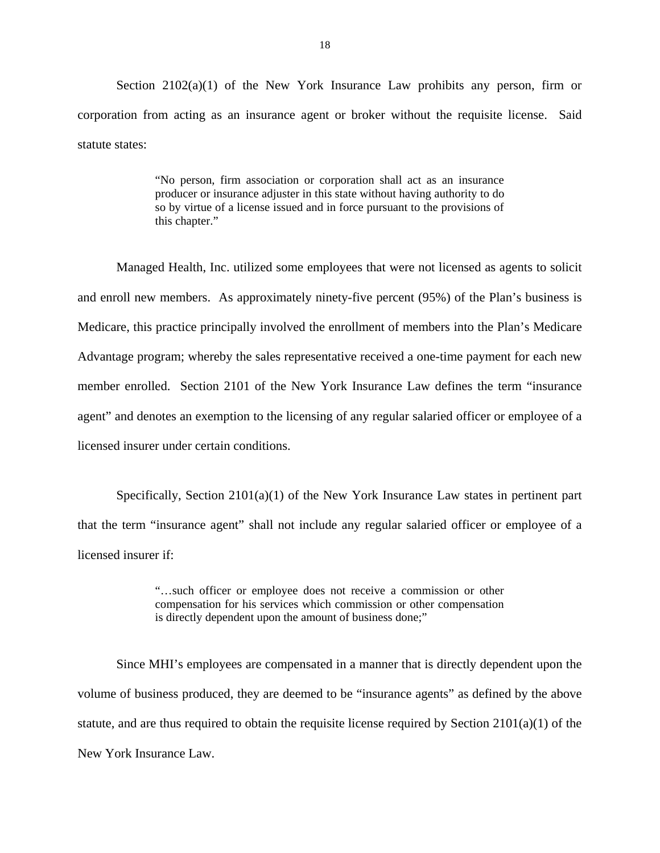Section  $2102(a)(1)$  of the New York Insurance Law prohibits any person, firm or corporation from acting as an insurance agent or broker without the requisite license. Said statute states:

> "No person, firm association or corporation shall act as an insurance producer or insurance adjuster in this state without having authority to do so by virtue of a license issued and in force pursuant to the provisions of this chapter."

Managed Health, Inc. utilized some employees that were not licensed as agents to solicit and enroll new members. As approximately ninety-five percent (95%) of the Plan's business is Medicare, this practice principally involved the enrollment of members into the Plan's Medicare Advantage program; whereby the sales representative received a one-time payment for each new member enrolled. Section 2101 of the New York Insurance Law defines the term "insurance agent" and denotes an exemption to the licensing of any regular salaried officer or employee of a licensed insurer under certain conditions.

Specifically, Section 2101(a)(1) of the New York Insurance Law states in pertinent part that the term "insurance agent" shall not include any regular salaried officer or employee of a licensed insurer if:

> "…such officer or employee does not receive a commission or other compensation for his services which commission or other compensation is directly dependent upon the amount of business done;"

Since MHI's employees are compensated in a manner that is directly dependent upon the volume of business produced, they are deemed to be "insurance agents" as defined by the above statute, and are thus required to obtain the requisite license required by Section  $2101(a)(1)$  of the New York Insurance Law.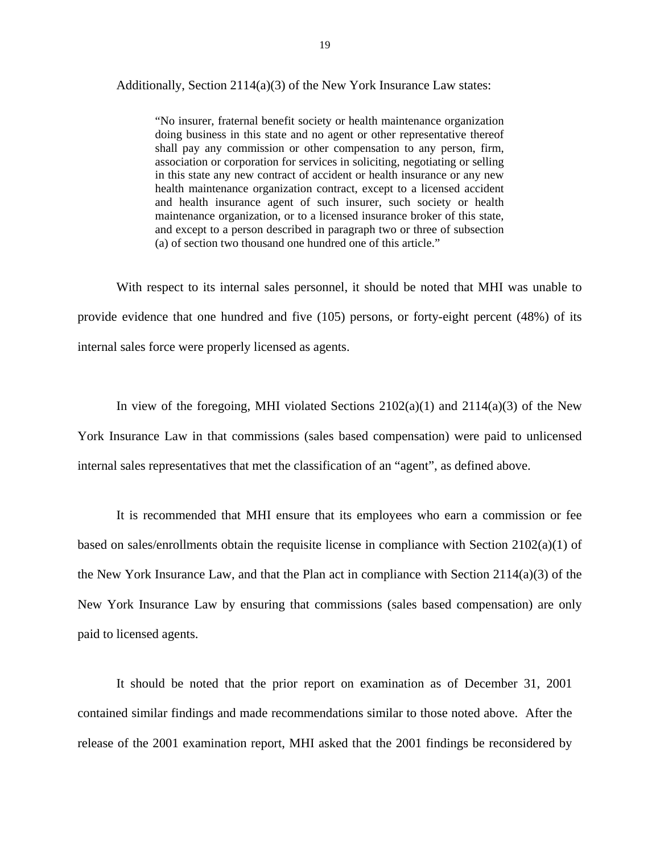Additionally, Section 2114(a)(3) of the New York Insurance Law states:

"No insurer, fraternal benefit society or health maintenance organization doing business in this state and no agent or other representative thereof shall pay any commission or other compensation to any person, firm, association or corporation for services in soliciting, negotiating or selling in this state any new contract of accident or health insurance or any new health maintenance organization contract, except to a licensed accident and health insurance agent of such insurer, such society or health maintenance organization, or to a licensed insurance broker of this state, and except to a person described in paragraph two or three of subsection (a) of section two thousand one hundred one of this article."

With respect to its internal sales personnel, it should be noted that MHI was unable to provide evidence that one hundred and five (105) persons, or forty-eight percent (48%) of its internal sales force were properly licensed as agents.

In view of the foregoing, MHI violated Sections  $2102(a)(1)$  and  $2114(a)(3)$  of the New York Insurance Law in that commissions (sales based compensation) were paid to unlicensed internal sales representatives that met the classification of an "agent", as defined above.

It is recommended that MHI ensure that its employees who earn a commission or fee based on sales/enrollments obtain the requisite license in compliance with Section 2102(a)(1) of the New York Insurance Law, and that the Plan act in compliance with Section  $2114(a)(3)$  of the New York Insurance Law by ensuring that commissions (sales based compensation) are only paid to licensed agents.

It should be noted that the prior report on examination as of December 31, 2001 contained similar findings and made recommendations similar to those noted above. After the release of the 2001 examination report, MHI asked that the 2001 findings be reconsidered by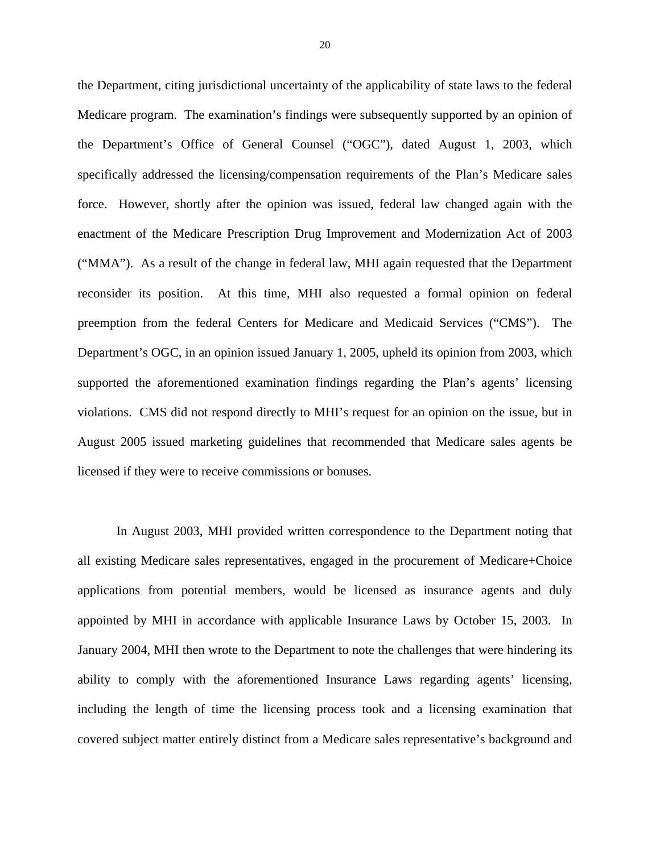the Department, citing jurisdictional uncertainty of the applicability of state laws to the federal Medicare program. The examination's findings were subsequently supported by an opinion of the Department's Office of General Counsel ("OGC"), dated August 1, 2003, which specifically addressed the licensing/compensation requirements of the Plan's Medicare sales force. However, shortly after the opinion was issued, federal law changed again with the enactment of the Medicare Prescription Drug Improvement and Modernization Act of 2003 ("MMA"). As a result of the change in federal law, MHI again requested that the Department reconsider its position. At this time, MHI also requested a formal opinion on federal preemption from the federal Centers for Medicare and Medicaid Services ("CMS"). The Department's OGC, in an opinion issued January 1, 2005, upheld its opinion from 2003, which supported the aforementioned examination findings regarding the Plan's agents' licensing violations. CMS did not respond directly to MHI's request for an opinion on the issue, but in August 2005 issued marketing guidelines that recommended that Medicare sales agents be licensed if they were to receive commissions or bonuses.

In August 2003, MHI provided written correspondence to the Department noting that all existing Medicare sales representatives, engaged in the procurement of Medicare+Choice applications from potential members, would be licensed as insurance agents and duly appointed by MHI in accordance with applicable Insurance Laws by October 15, 2003. In January 2004, MHI then wrote to the Department to note the challenges that were hindering its ability to comply with the aforementioned Insurance Laws regarding agents' licensing, including the length of time the licensing process took and a licensing examination that covered subject matter entirely distinct from a Medicare sales representative's background and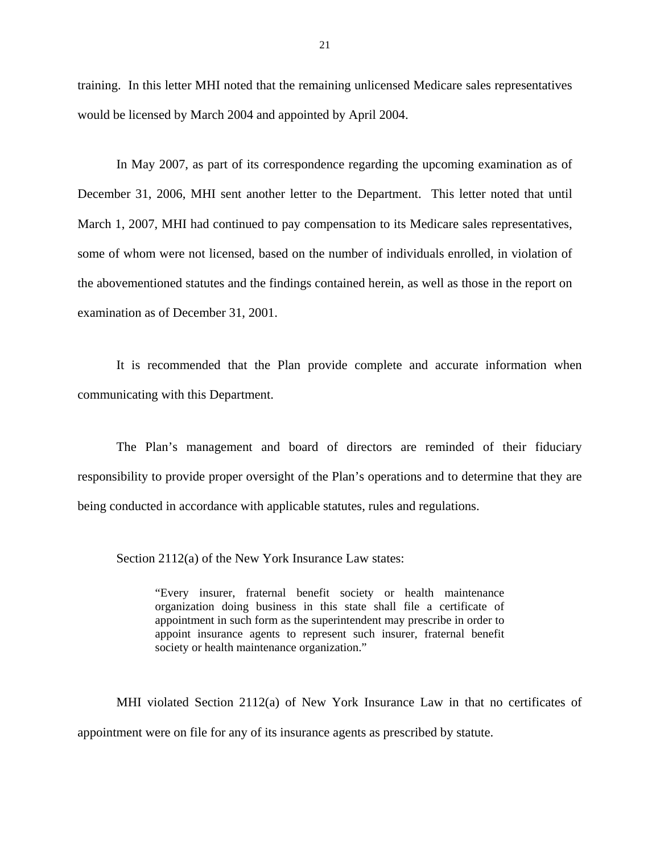training. In this letter MHI noted that the remaining unlicensed Medicare sales representatives would be licensed by March 2004 and appointed by April 2004.

In May 2007, as part of its correspondence regarding the upcoming examination as of December 31, 2006, MHI sent another letter to the Department. This letter noted that until March 1, 2007, MHI had continued to pay compensation to its Medicare sales representatives, some of whom were not licensed, based on the number of individuals enrolled, in violation of the abovementioned statutes and the findings contained herein, as well as those in the report on examination as of December 31, 2001.

It is recommended that the Plan provide complete and accurate information when communicating with this Department.

The Plan's management and board of directors are reminded of their fiduciary responsibility to provide proper oversight of the Plan's operations and to determine that they are being conducted in accordance with applicable statutes, rules and regulations.

Section 2112(a) of the New York Insurance Law states:

"Every insurer, fraternal benefit society or health maintenance organization doing business in this state shall file a certificate of appointment in such form as the superintendent may prescribe in order to appoint insurance agents to represent such insurer, fraternal benefit society or health maintenance organization."

MHI violated Section 2112(a) of New York Insurance Law in that no certificates of appointment were on file for any of its insurance agents as prescribed by statute.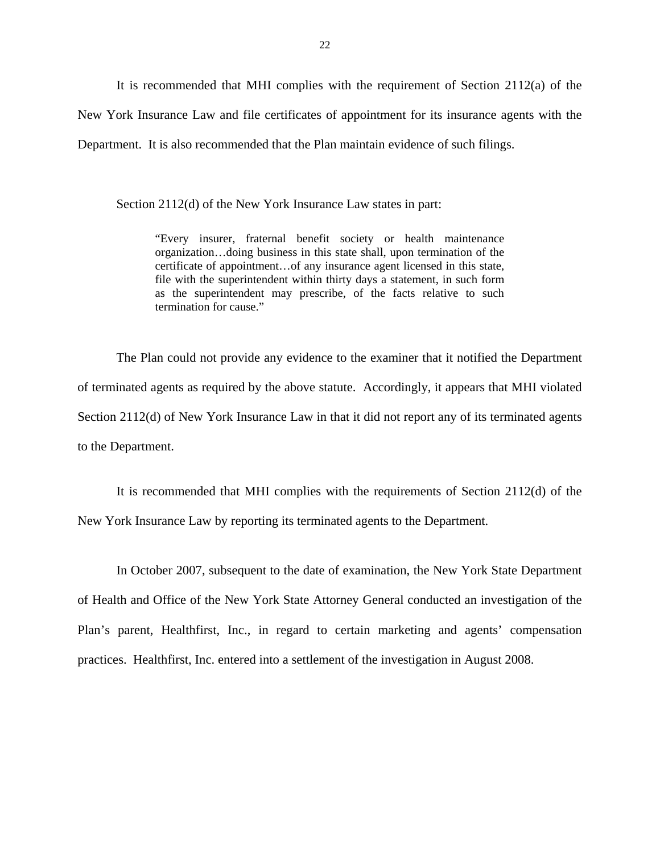It is recommended that MHI complies with the requirement of Section 2112(a) of the New York Insurance Law and file certificates of appointment for its insurance agents with the Department. It is also recommended that the Plan maintain evidence of such filings.

Section 2112(d) of the New York Insurance Law states in part:

"Every insurer, fraternal benefit society or health maintenance organization…doing business in this state shall, upon termination of the certificate of appointment…of any insurance agent licensed in this state, file with the superintendent within thirty days a statement, in such form as the superintendent may prescribe, of the facts relative to such termination for cause."

The Plan could not provide any evidence to the examiner that it notified the Department of terminated agents as required by the above statute. Accordingly, it appears that MHI violated Section 2112(d) of New York Insurance Law in that it did not report any of its terminated agents to the Department.

It is recommended that MHI complies with the requirements of Section 2112(d) of the New York Insurance Law by reporting its terminated agents to the Department.

In October 2007, subsequent to the date of examination, the New York State Department of Health and Office of the New York State Attorney General conducted an investigation of the Plan's parent, Healthfirst, Inc., in regard to certain marketing and agents' compensation practices. Healthfirst, Inc. entered into a settlement of the investigation in August 2008.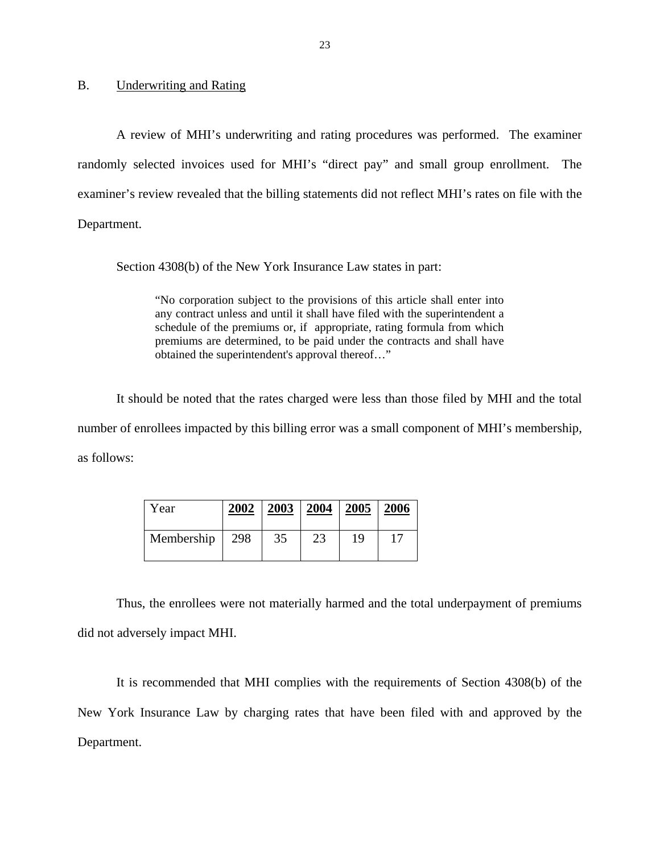B. Underwriting and Rating

A review of MHI's underwriting and rating procedures was performed. The examiner randomly selected invoices used for MHI's "direct pay" and small group enrollment. The examiner's review revealed that the billing statements did not reflect MHI's rates on file with the Department.

Section 4308(b) of the New York Insurance Law states in part:

schedule of the premiums or, if appropriate, rating formula from which "No corporation subject to the provisions of this article shall enter into any contract unless and until it shall have filed with the superintendent a premiums are determined, to be paid under the contracts and shall have obtained the superintendent's approval thereof…"

It should be noted that the rates charged were less than those filed by MHI and the total number of enrollees impacted by this billing error was a small component of MHI's membership, as follows:

| Year       | 2002 | 2003 | 2004 | 2005 | 2006 |
|------------|------|------|------|------|------|
| Membership | 298  | 35   | 23   | 19   |      |

Thus, the enrollees were not materially harmed and the total underpayment of premiums did not adversely impact MHI.

It is recommended that MHI complies with the requirements of Section 4308(b) of the New York Insurance Law by charging rates that have been filed with and approved by the Department.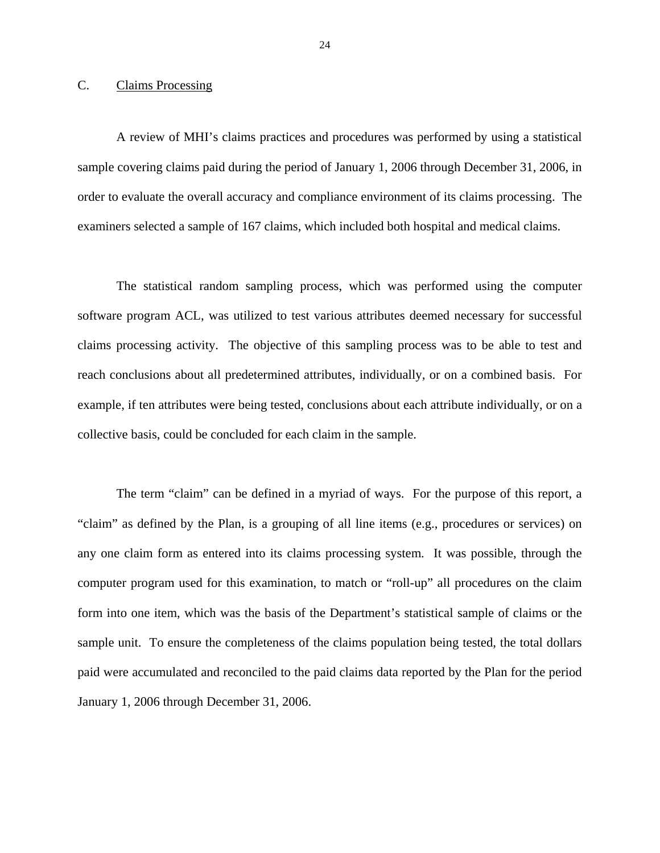#### <span id="page-25-0"></span>C. Claims Processing

A review of MHI's claims practices and procedures was performed by using a statistical sample covering claims paid during the period of January 1, 2006 through December 31, 2006, in order to evaluate the overall accuracy and compliance environment of its claims processing. The examiners selected a sample of 167 claims, which included both hospital and medical claims.

The statistical random sampling process, which was performed using the computer software program ACL, was utilized to test various attributes deemed necessary for successful claims processing activity. The objective of this sampling process was to be able to test and reach conclusions about all predetermined attributes, individually, or on a combined basis. For example, if ten attributes were being tested, conclusions about each attribute individually, or on a collective basis, could be concluded for each claim in the sample.

The term "claim" can be defined in a myriad of ways. For the purpose of this report, a "claim" as defined by the Plan, is a grouping of all line items (e.g., procedures or services) on any one claim form as entered into its claims processing system. It was possible, through the computer program used for this examination, to match or "roll-up" all procedures on the claim form into one item, which was the basis of the Department's statistical sample of claims or the sample unit. To ensure the completeness of the claims population being tested, the total dollars paid were accumulated and reconciled to the paid claims data reported by the Plan for the period January 1, 2006 through December 31, 2006.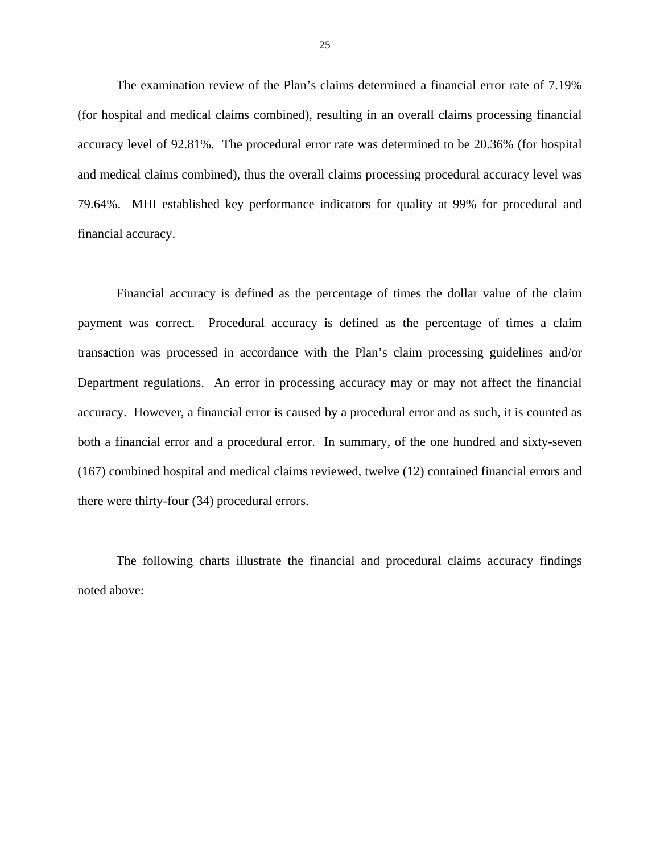The examination review of the Plan's claims determined a financial error rate of 7.19% (for hospital and medical claims combined), resulting in an overall claims processing financial accuracy level of 92.81%. The procedural error rate was determined to be 20.36% (for hospital and medical claims combined), thus the overall claims processing procedural accuracy level was 79.64%. MHI established key performance indicators for quality at 99% for procedural and financial accuracy.

Financial accuracy is defined as the percentage of times the dollar value of the claim payment was correct. Procedural accuracy is defined as the percentage of times a claim transaction was processed in accordance with the Plan's claim processing guidelines and/or Department regulations. An error in processing accuracy may or may not affect the financial accuracy. However, a financial error is caused by a procedural error and as such, it is counted as both a financial error and a procedural error. In summary, of the one hundred and sixty-seven (167) combined hospital and medical claims reviewed, twelve (12) contained financial errors and there were thirty-four (34) procedural errors.

The following charts illustrate the financial and procedural claims accuracy findings noted above: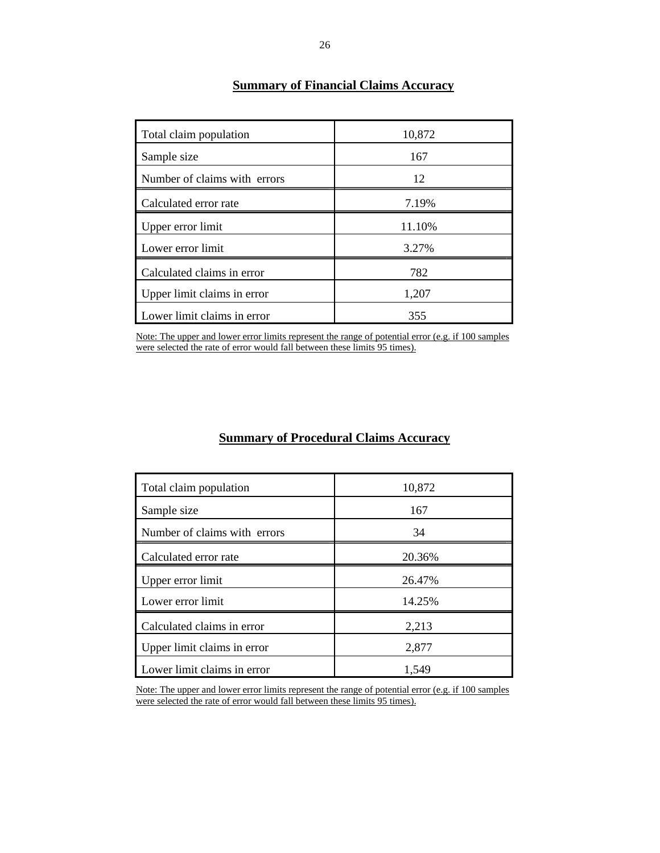| Total claim population       | 10,872 |
|------------------------------|--------|
| Sample size                  | 167    |
| Number of claims with errors | 12     |
| Calculated error rate        | 7.19%  |
| Upper error limit            | 11.10% |
| Lower error limit            | 3.27%  |
| Calculated claims in error   | 782    |
| Upper limit claims in error  | 1,207  |
| Lower limit claims in error  | 355    |

# **Summary of Financial Claims Accuracy**

 Note: The upper and lower error limits represent the range of potential error (e.g. if 100 samples were selected the rate of error would fall between these limits 95 times).

### **Summary of Procedural Claims Accuracy**

| Total claim population       | 10,872 |
|------------------------------|--------|
| Sample size                  | 167    |
| Number of claims with errors | 34     |
| Calculated error rate        | 20.36% |
| Upper error limit            | 26.47% |
| Lower error limit            | 14.25% |
| Calculated claims in error   | 2,213  |
| Upper limit claims in error  | 2,877  |
| Lower limit claims in error  | 1,549  |

 Note: The upper and lower error limits represent the range of potential error (e.g. if 100 samples were selected the rate of error would fall between these limits 95 times).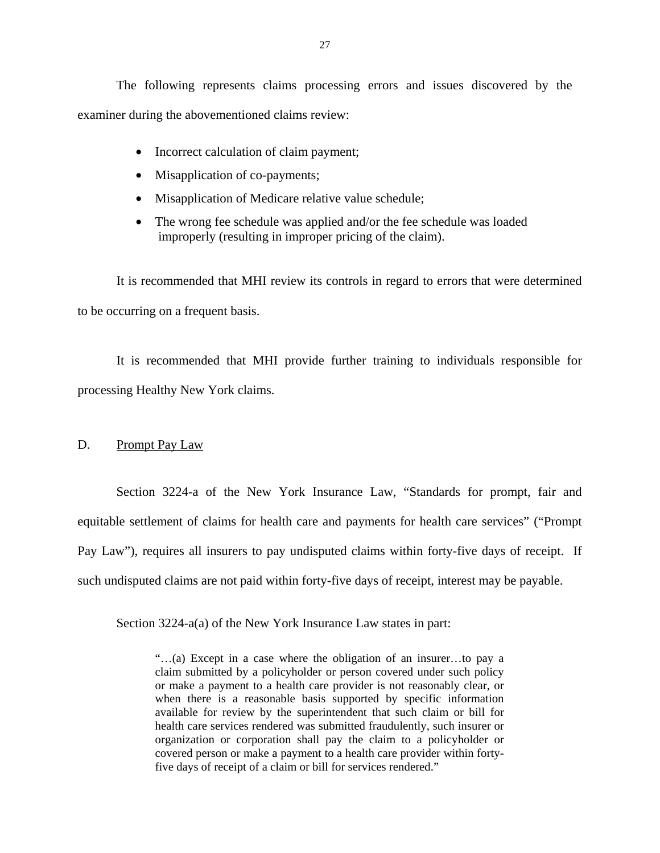<span id="page-28-0"></span>The following represents claims processing errors and issues discovered by the examiner during the abovementioned claims review:

- Incorrect calculation of claim payment;
- Misapplication of co-payments;
- Misapplication of Medicare relative value schedule;
- The wrong fee schedule was applied and/or the fee schedule was loaded improperly (resulting in improper pricing of the claim).

It is recommended that MHI review its controls in regard to errors that were determined to be occurring on a frequent basis.

It is recommended that MHI provide further training to individuals responsible for processing Healthy New York claims.

#### D. Prompt Pay Law

Section 3224-a of the New York Insurance Law, "Standards for prompt, fair and equitable settlement of claims for health care and payments for health care services" ("Prompt Pay Law"), requires all insurers to pay undisputed claims within forty-five days of receipt. If such undisputed claims are not paid within forty-five days of receipt, interest may be payable.

Section 3224-a(a) of the New York Insurance Law states in part:

"…(a) Except in a case where the obligation of an insurer…to pay a claim submitted by a policyholder or person covered under such policy or make a payment to a health care provider is not reasonably clear, or when there is a reasonable basis supported by specific information available for review by the superintendent that such claim or bill for health care services rendered was submitted fraudulently, such insurer or organization or corporation shall pay the claim to a policyholder or covered person or make a payment to a health care provider within fortyfive days of receipt of a claim or bill for services rendered."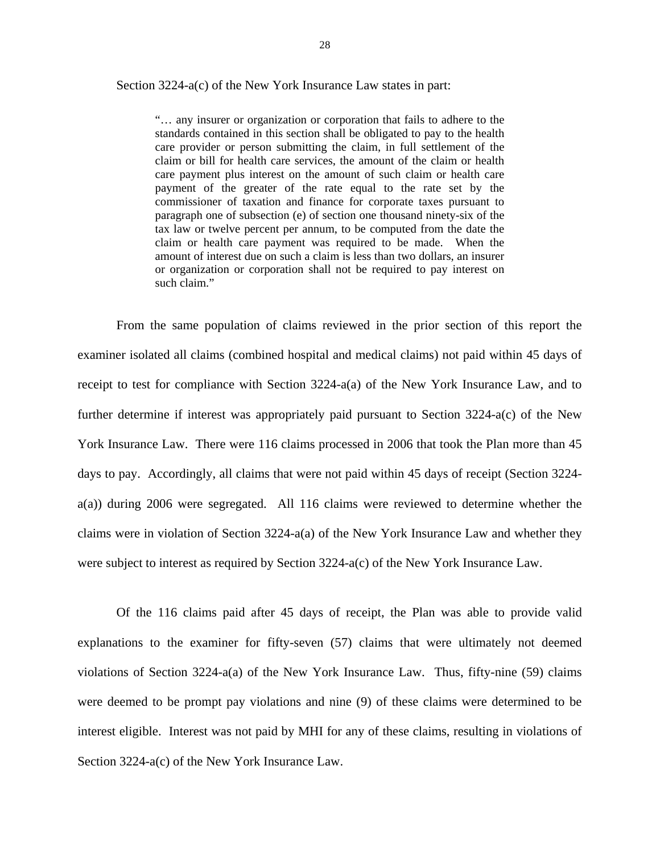Section 3224-a(c) of the New York Insurance Law states in part:

"… any insurer or organization or corporation that fails to adhere to the standards contained in this section shall be obligated to pay to the health care provider or person submitting the claim, in full settlement of the claim or bill for health care services, the amount of the claim or health care payment plus interest on the amount of such claim or health care payment of the greater of the rate equal to the rate set by the commissioner of taxation and finance for corporate taxes pursuant to paragraph one of subsection (e) of section one thousand ninety-six of the tax law or twelve percent per annum, to be computed from the date the claim or health care payment was required to be made. When the amount of interest due on such a claim is less than two dollars, an insurer or organization or corporation shall not be required to pay interest on such claim."

From the same population of claims reviewed in the prior section of this report the examiner isolated all claims (combined hospital and medical claims) not paid within 45 days of receipt to test for compliance with Section 3224-a(a) of the New York Insurance Law, and to further determine if interest was appropriately paid pursuant to Section 3224-a(c) of the New York Insurance Law. There were 116 claims processed in 2006 that took the Plan more than 45 days to pay. Accordingly, all claims that were not paid within 45 days of receipt (Section 3224 a(a)) during 2006 were segregated. All 116 claims were reviewed to determine whether the claims were in violation of Section 3224-a(a) of the New York Insurance Law and whether they were subject to interest as required by Section 3224-a(c) of the New York Insurance Law.

Of the 116 claims paid after 45 days of receipt, the Plan was able to provide valid explanations to the examiner for fifty-seven (57) claims that were ultimately not deemed violations of Section 3224-a(a) of the New York Insurance Law. Thus, fifty-nine (59) claims were deemed to be prompt pay violations and nine (9) of these claims were determined to be interest eligible. Interest was not paid by MHI for any of these claims, resulting in violations of Section 3224-a(c) of the New York Insurance Law.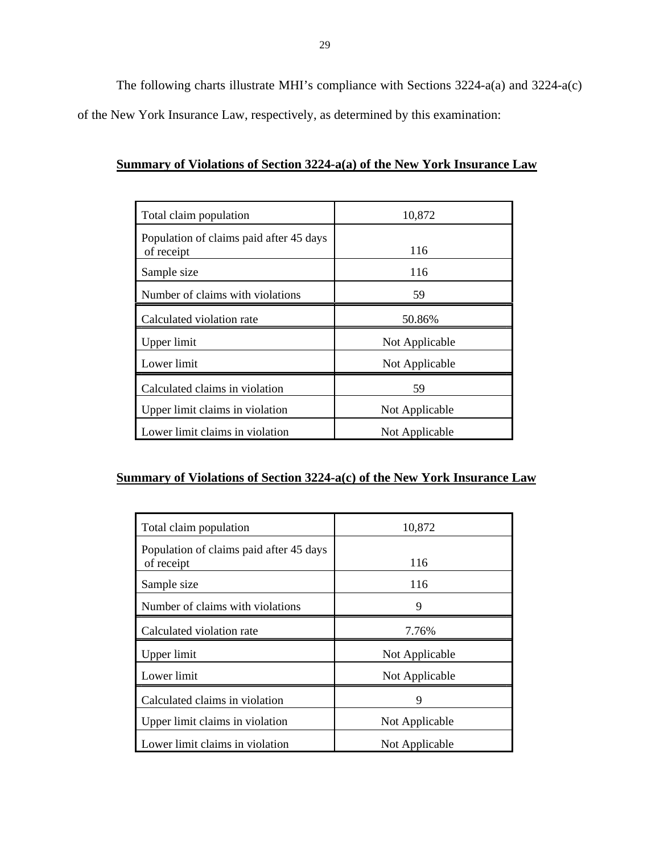The following charts illustrate MHI's compliance with Sections 3224-a(a) and 3224-a(c) of the New York Insurance Law, respectively, as determined by this examination:

#### **Summary of Violations of Section 3224-a(a) of the New York Insurance Law**

| Total claim population                                | 10,872         |
|-------------------------------------------------------|----------------|
| Population of claims paid after 45 days<br>of receipt | 116            |
| Sample size                                           | 116            |
| Number of claims with violations                      | 59             |
| Calculated violation rate                             | 50.86%         |
| Upper limit                                           | Not Applicable |
| Lower limit                                           | Not Applicable |
| Calculated claims in violation                        | 59             |
| Upper limit claims in violation                       | Not Applicable |
| Lower limit claims in violation                       | Not Applicable |

## **Summary of Violations of Section 3224-a(c) of the New York Insurance Law**

| Total claim population                                | 10,872         |
|-------------------------------------------------------|----------------|
| Population of claims paid after 45 days<br>of receipt | 116            |
| Sample size                                           | 116            |
| Number of claims with violations                      | 9              |
| Calculated violation rate                             | 7.76%          |
| Upper limit                                           | Not Applicable |
| Lower limit                                           | Not Applicable |
| Calculated claims in violation                        | 9              |
| Upper limit claims in violation                       | Not Applicable |
| Lower limit claims in violation                       | Not Applicable |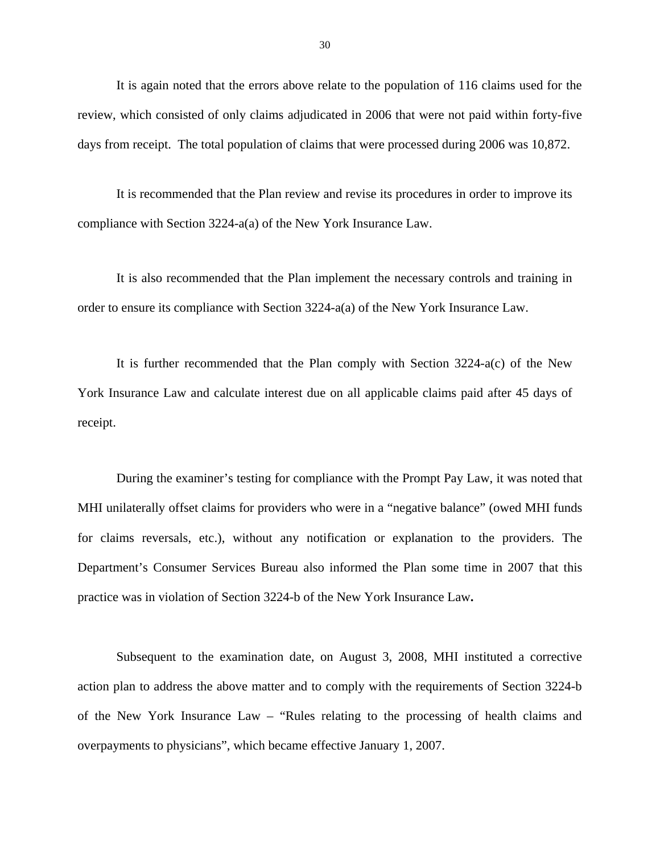It is again noted that the errors above relate to the population of 116 claims used for the review, which consisted of only claims adjudicated in 2006 that were not paid within forty-five days from receipt. The total population of claims that were processed during 2006 was 10,872.

It is recommended that the Plan review and revise its procedures in order to improve its compliance with Section 3224-a(a) of the New York Insurance Law.

It is also recommended that the Plan implement the necessary controls and training in order to ensure its compliance with Section 3224-a(a) of the New York Insurance Law.

It is further recommended that the Plan comply with Section 3224-a(c) of the New York Insurance Law and calculate interest due on all applicable claims paid after 45 days of receipt.

During the examiner's testing for compliance with the Prompt Pay Law, it was noted that MHI unilaterally offset claims for providers who were in a "negative balance" (owed MHI funds for claims reversals, etc.), without any notification or explanation to the providers. The Department's Consumer Services Bureau also informed the Plan some time in 2007 that this practice was in violation of Section 3224-b of the New York Insurance Law**.** 

Subsequent to the examination date, on August 3, 2008, MHI instituted a corrective action plan to address the above matter and to comply with the requirements of Section 3224-b of the New York Insurance Law – "Rules relating to the processing of health claims and overpayments to physicians", which became effective January 1, 2007.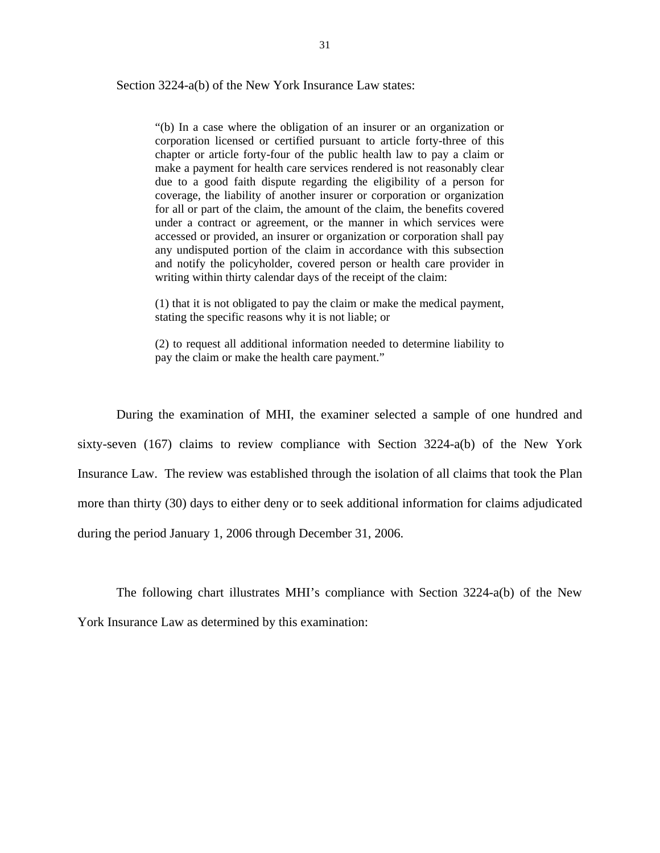Section 3224-a(b) of the New York Insurance Law states:

writing within thirty calendar days of the receipt of the claim: "(b) In a case where the obligation of an insurer or an organization or corporation licensed or certified pursuant to article forty-three of this chapter or article forty-four of the public health law to pay a claim or make a payment for health care services rendered is not reasonably clear due to a good faith dispute regarding the eligibility of a person for coverage, the liability of another insurer or corporation or organization for all or part of the claim, the amount of the claim, the benefits covered under a contract or agreement, or the manner in which services were accessed or provided, an insurer or organization or corporation shall pay any undisputed portion of the claim in accordance with this subsection and notify the policyholder, covered person or health care provider in

 $(1)$  that it is not obligated to pay the claim or make the medical payment, stating the specific reasons why it is not liable; or

(2) to request all additional information needed to determine liability to pay the claim or make the health care payment."

During the examination of MHI, the examiner selected a sample of one hundred and sixty-seven (167) claims to review compliance with Section 3224-a(b) of the New York Insurance Law. The review was established through the isolation of all claims that took the Plan more than thirty (30) days to either deny or to seek additional information for claims adjudicated during the period January 1, 2006 through December 31, 2006.

The following chart illustrates MHI's compliance with Section 3224-a(b) of the New York Insurance Law as determined by this examination: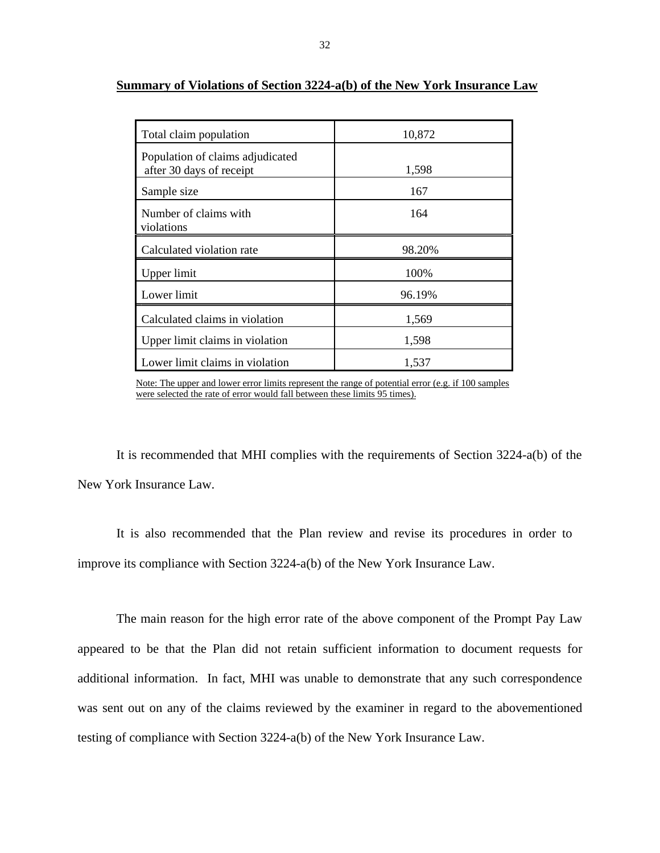| Total claim population                                       | 10,872 |
|--------------------------------------------------------------|--------|
| Population of claims adjudicated<br>after 30 days of receipt | 1,598  |
| Sample size                                                  | 167    |
| Number of claims with<br>violations                          | 164    |
| Calculated violation rate                                    | 98.20% |
| Upper limit                                                  | 100%   |
| Lower limit                                                  | 96.19% |
| Calculated claims in violation                               | 1,569  |
| Upper limit claims in violation                              | 1,598  |
| Lower limit claims in violation                              | 1,537  |

#### **Summary of Violations of Section 3224-a(b) of the New York Insurance Law**

 Note: The upper and lower error limits represent the range of potential error (e.g. if 100 samples were selected the rate of error would fall between these limits 95 times).

It is recommended that MHI complies with the requirements of Section 3224-a(b) of the New York Insurance Law.

It is also recommended that the Plan review and revise its procedures in order to improve its compliance with Section 3224-a(b) of the New York Insurance Law.

The main reason for the high error rate of the above component of the Prompt Pay Law appeared to be that the Plan did not retain sufficient information to document requests for additional information. In fact, MHI was unable to demonstrate that any such correspondence was sent out on any of the claims reviewed by the examiner in regard to the abovementioned testing of compliance with Section 3224-a(b) of the New York Insurance Law.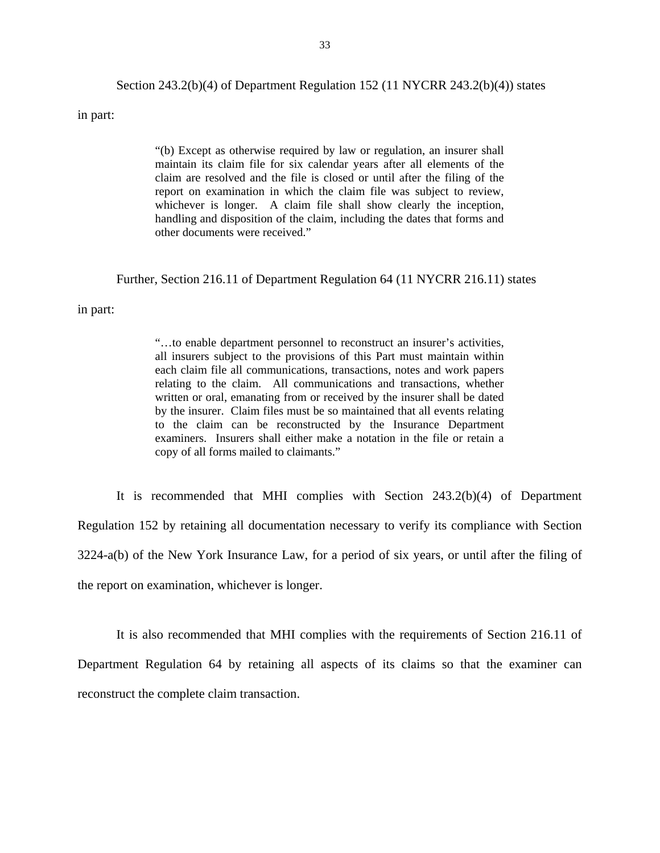#### Section 243.2(b)(4) of Department Regulation 152 (11 NYCRR 243.2(b)(4)) states

in part:

"(b) Except as otherwise required by law or regulation, an insurer shall maintain its claim file for six calendar years after all elements of the claim are resolved and the file is closed or until after the filing of the report on examination in which the claim file was subject to review, whichever is longer. A claim file shall show clearly the inception, handling and disposition of the claim, including the dates that forms and other documents were received."

#### Further, Section 216.11 of Department Regulation 64 (11 NYCRR 216.11) states

in part:

 relating to the claim. All communications and transactions, whether "…to enable department personnel to reconstruct an insurer's activities, all insurers subject to the provisions of this Part must maintain within each claim file all communications, transactions, notes and work papers written or oral, emanating from or received by the insurer shall be dated by the insurer. Claim files must be so maintained that all events relating to the claim can be reconstructed by the Insurance Department examiners. Insurers shall either make a notation in the file or retain a copy of all forms mailed to claimants."

It is recommended that MHI complies with Section 243.2(b)(4) of Department Regulation 152 by retaining all documentation necessary to verify its compliance with Section 3224-a(b) of the New York Insurance Law, for a period of six years, or until after the filing of the report on examination, whichever is longer.

It is also recommended that MHI complies with the requirements of Section 216.11 of Department Regulation 64 by retaining all aspects of its claims so that the examiner can reconstruct the complete claim transaction.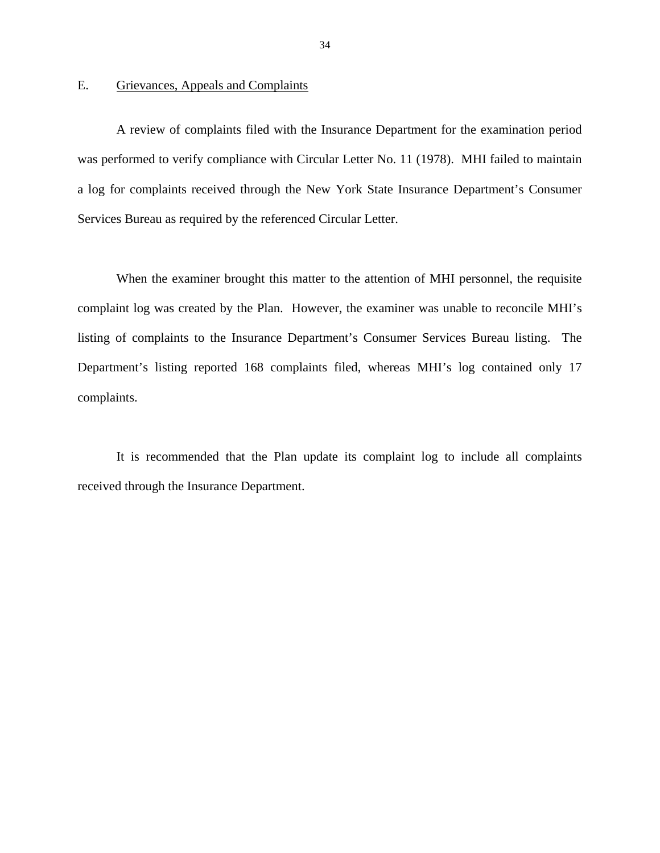#### Grievances, Appeals and Complaints

<span id="page-35-0"></span>E. Grievances, Appeals and Complaints<br>A review of complaints filed with the Insurance Department for the examination period was performed to verify compliance with Circular Letter No. 11 (1978). MHI failed to maintain a log for complaints received through the New York State Insurance Department's Consumer Services Bureau as required by the referenced Circular Letter.

When the examiner brought this matter to the attention of MHI personnel, the requisite complaint log was created by the Plan. However, the examiner was unable to reconcile MHI's listing of complaints to the Insurance Department's Consumer Services Bureau listing. The Department's listing reported 168 complaints filed, whereas MHI's log contained only 17 complaints.

It is recommended that the Plan update its complaint log to include all complaints received through the Insurance Department.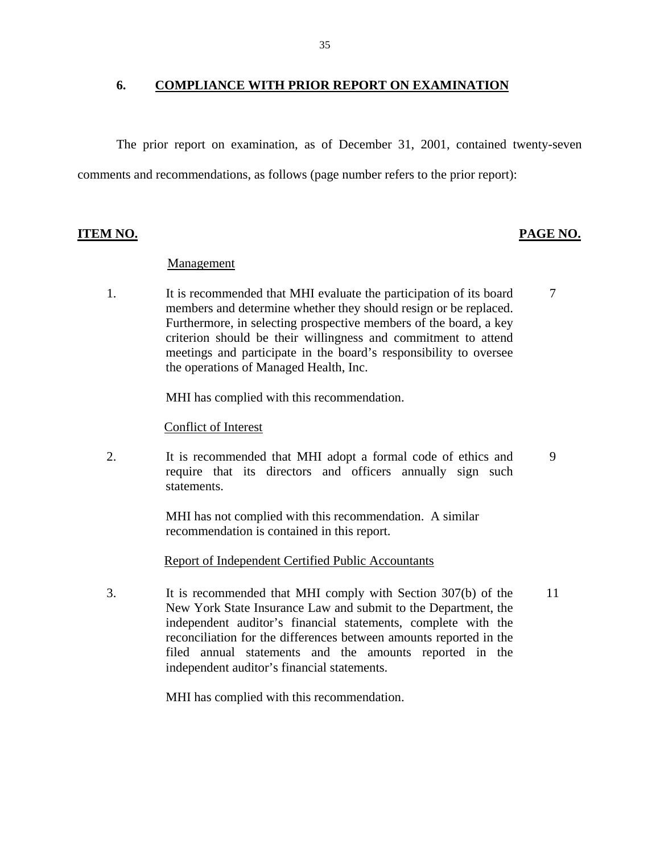#### **6. COMPLIANCE WITH PRIOR REPORT ON EXAMINATION**

The prior report on examination, as of December 31, 2001, contained twenty-seven comments and recommendations, as follows (page number refers to the prior report):

#### **ITEM NO. PAGE NO.**

#### Management

 1. It is recommended that MHI evaluate the participation of its board members and determine whether they should resign or be replaced. Furthermore, in selecting prospective members of the board, a key criterion should be their willingness and commitment to attend meetings and participate in the board's responsibility to oversee the operations of Managed Health, Inc. 7

MHI has complied with this recommendation.

#### Conflict of Interest

2. It is recommended that MHI adopt a formal code of ethics and require that its directors and officers annually sign such statements. 9

> MHI has not complied with this recommendation. A similar recommendation is contained in this report.

Report of Independent Certified Public Accountants

 3. It is recommended that MHI comply with Section 307(b) of the New York State Insurance Law and submit to the Department, the independent auditor's financial statements, complete with the reconciliation for the differences between amounts reported in the filed annual statements and the amounts reported in the independent auditor's financial statements. 11

MHI has complied with this recommendation.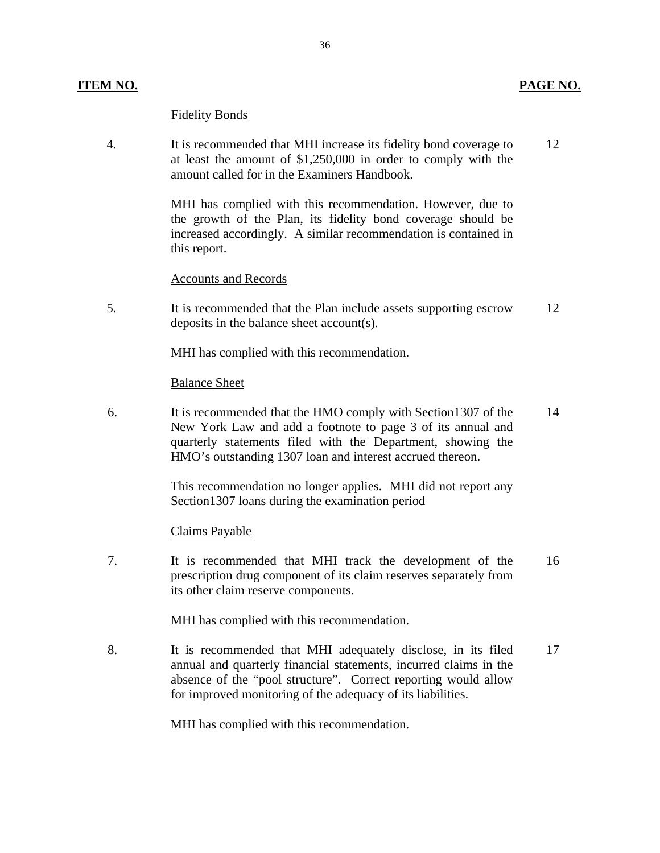#### **ITEM NO. PAGE NO.**

# Fidelity Bonds

 4. It is recommended that MHI increase its fidelity bond coverage to 12 at least the amount of \$1,250,000 in order to comply with the amount called for in the Examiners Handbook.

> MHI has complied with this recommendation. However, due to the growth of the Plan, its fidelity bond coverage should be increased accordingly. A similar recommendation is contained in this report.

#### Accounts and Records

 5. It is recommended that the Plan include assets supporting escrow 12 deposits in the balance sheet account(s).

MHI has complied with this recommendation.

#### Balance Sheet

 6. It is recommended that the HMO comply with Section1307 of the 14 New York Law and add a footnote to page 3 of its annual and quarterly statements filed with the Department, showing the HMO's outstanding 1307 loan and interest accrued thereon.

> This recommendation no longer applies. MHI did not report any Section1307 loans during the examination period

#### Claims Payable

 7. It is recommended that MHI track the development of the 16 prescription drug component of its claim reserves separately from its other claim reserve components.

MHI has complied with this recommendation.

8. It is recommended that MHI adequately disclose, in its filed 17 annual and quarterly financial statements, incurred claims in the absence of the "pool structure". Correct reporting would allow for improved monitoring of the adequacy of its liabilities.

MHI has complied with this recommendation.

36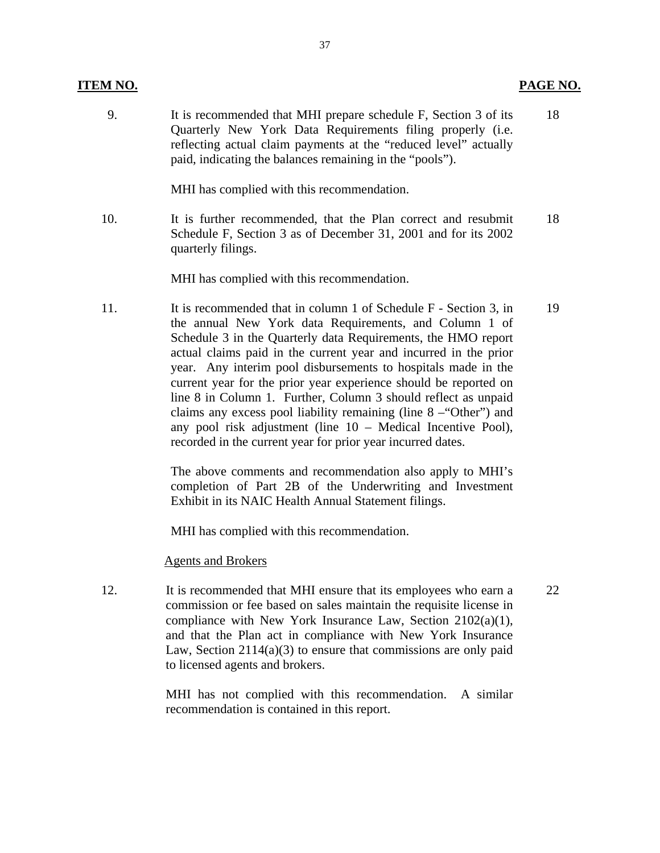#### **ITEM NO.**

 9. It is recommended that MHI prepare schedule F, Section 3 of its 18 Quarterly New York Data Requirements filing properly (i.e. reflecting actual claim payments at the "reduced level" actually paid, indicating the balances remaining in the "pools").

MHI has complied with this recommendation.

 10. It is further recommended, that the Plan correct and resubmit 18 Schedule F, Section 3 as of December 31, 2001 and for its 2002 quarterly filings.

MHI has complied with this recommendation.

11. It is recommended that in column 1 of Schedule F - Section 3, in 19 the annual New York data Requirements, and Column 1 of Schedule 3 in the Quarterly data Requirements, the HMO report actual claims paid in the current year and incurred in the prior year. Any interim pool disbursements to hospitals made in the current year for the prior year experience should be reported on line 8 in Column 1. Further, Column 3 should reflect as unpaid claims any excess pool liability remaining (line 8 –"Other") and any pool risk adjustment (line 10 – Medical Incentive Pool), recorded in the current year for prior year incurred dates.

> The above comments and recommendation also apply to MHI's completion of Part 2B of the Underwriting and Investment Exhibit in its NAIC Health Annual Statement filings.

MHI has complied with this recommendation.

Agents and Brokers

12. It is recommended that MHI ensure that its employees who earn a 22 commission or fee based on sales maintain the requisite license in compliance with New York Insurance Law, Section 2102(a)(1), and that the Plan act in compliance with New York Insurance Law, Section  $2114(a)(3)$  to ensure that commissions are only paid to licensed agents and brokers.

> MHI has not complied with this recommendation. A similar recommendation is contained in this report.

**PAGE NO.**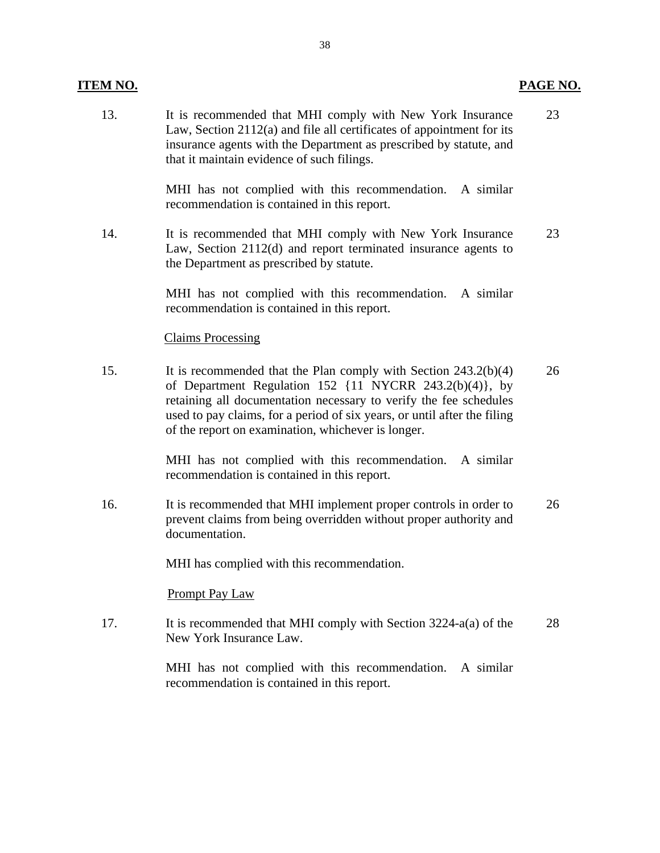#### **ITEM NO.**

#### 13. It is recommended that MHI comply with New York Insurance Law, Section 2112(a) and file all certificates of appointment for its insurance agents with the Department as prescribed by statute, and that it maintain evidence of such filings. 23

**PAGE NO.** 

MHI has not complied with this recommendation. A similar recommendation is contained in this report.

14. It is recommended that MHI comply with New York Insurance Law, Section 2112(d) and report terminated insurance agents to the Department as prescribed by statute. 23

> MHI has not complied with this recommendation. A similar recommendation is contained in this report.

#### Claims Processing

 15. It is recommended that the Plan comply with Section 243.2(b)(4) of Department Regulation  $152 \{11 \text{ NYCRR } 243.2(b)(4)\}$ , by retaining all documentation necessary to verify the fee schedules used to pay claims, for a period of six years, or until after the filing of the report on examination, whichever is longer. 26

> MHI has not complied with this recommendation. A similar recommendation is contained in this report.

16. It is recommended that MHI implement proper controls in order to prevent claims from being overridden without proper authority and documentation. 26

MHI has complied with this recommendation.

Prompt Pay Law

17. It is recommended that MHI comply with Section 3224-a(a) of the New York Insurance Law. 28

> MHI has not complied with this recommendation. recommendation is contained in this report. A similar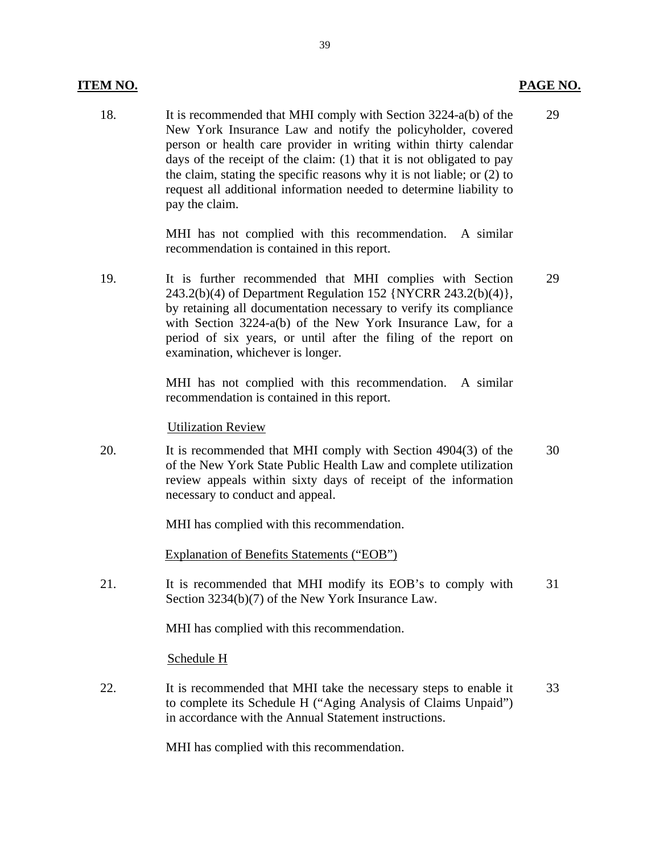#### **ITEM NO. PAGE NO.**

 18. It is recommended that MHI comply with Section 3224-a(b) of the New York Insurance Law and notify the policyholder, covered person or health care provider in writing within thirty calendar days of the receipt of the claim: (1) that it is not obligated to pay the claim, stating the specific reasons why it is not liable; or (2) to request all additional information needed to determine liability to pay the claim. 29

> MHI has not complied with this recommendation. A similar recommendation is contained in this report.

19. It is further recommended that MHI complies with Section 243.2(b)(4) of Department Regulation 152 {NYCRR 243.2(b)(4)}, by retaining all documentation necessary to verify its compliance with Section 3224-a(b) of the New York Insurance Law, for a period of six years, or until after the filing of the report on examination, whichever is longer. 29

> MHI has not complied with this recommendation. A similar recommendation is contained in this report.

Utilization Review

 20. It is recommended that MHI comply with Section 4904(3) of the of the New York State Public Health Law and complete utilization review appeals within sixty days of receipt of the information necessary to conduct and appeal. 30

MHI has complied with this recommendation.

Explanation of Benefits Statements ("EOB")

 21. It is recommended that MHI modify its EOB's to comply with Section 3234(b)(7) of the New York Insurance Law. 31

MHI has complied with this recommendation.

Schedule H

 22. It is recommended that MHI take the necessary steps to enable it to complete its Schedule H ("Aging Analysis of Claims Unpaid") in accordance with the Annual Statement instructions. 33

MHI has complied with this recommendation.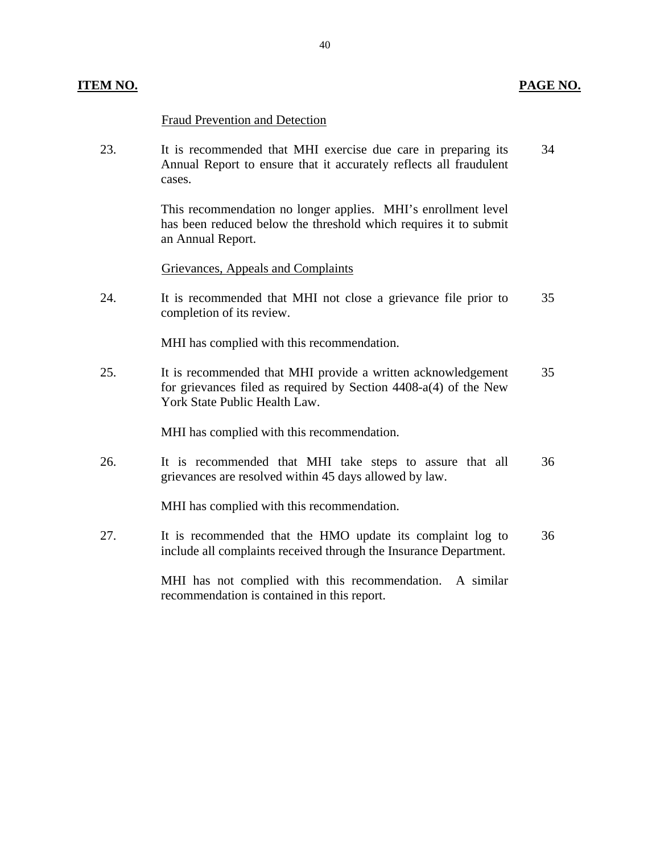#### **ITEM NO. PAGE NO.**

#### Fraud Prevention and Detection

 23. It is recommended that MHI exercise due care in preparing its 34 Annual Report to ensure that it accurately reflects all fraudulent cases.

> This recommendation no longer applies. MHI's enrollment level has been reduced below the threshold which requires it to submit an Annual Report.

Grievances, Appeals and Complaints

 24. It is recommended that MHI not close a grievance file prior to 35 completion of its review.

MHI has complied with this recommendation.

25. It is recommended that MHI provide a written acknowledgement 35 for grievances filed as required by Section 4408-a(4) of the New York State Public Health Law.

MHI has complied with this recommendation.

26. It is recommended that MHI take steps to assure that all 36 grievances are resolved within 45 days allowed by law.

MHI has complied with this recommendation.

27. It is recommended that the HMO update its complaint log to 36 include all complaints received through the Insurance Department.

> MHI has not complied with this recommendation. A similar recommendation is contained in this report.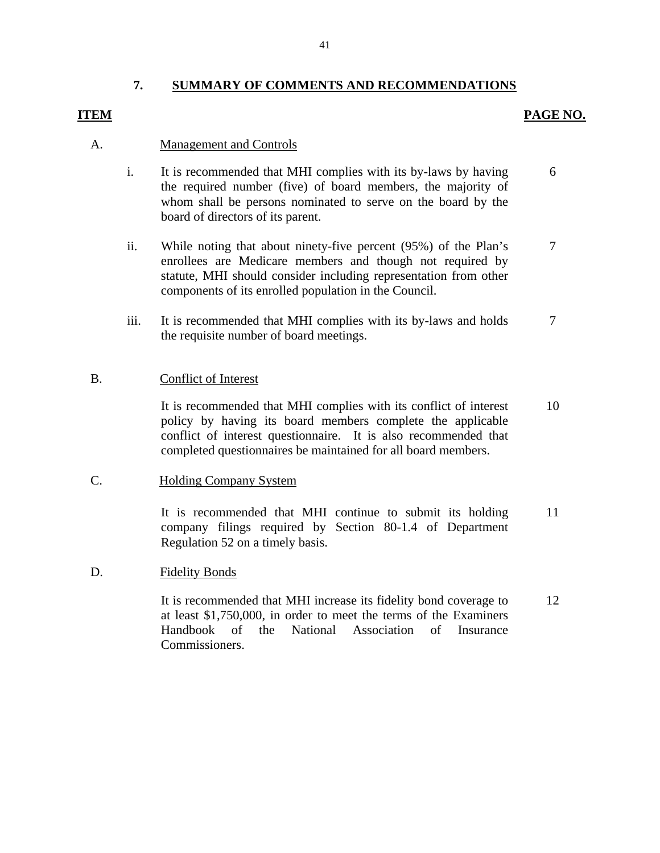#### **7. SUMMARY OF COMMENTS AND RECOMMENDATIONS**

#### **ITEM**

#### **PAGE NO.**

#### A. Management and Controls

- i. It is recommended that MHI complies with its by-laws by having the required number (five) of board members, the majority of whom shall be persons nominated to serve on the board by the board of directors of its parent. 6
- ii. While noting that about ninety-five percent (95%) of the Plan's enrollees are Medicare members and though not required by statute, MHI should consider including representation from other components of its enrolled population in the Council. 7
- iii. It is recommended that MHI complies with its by-laws and holds the requisite number of board meetings. 7

#### B. Conflict of Interest

It is recommended that MHI complies with its conflict of interest policy by having its board members complete the applicable conflict of interest questionnaire. It is also recommended that completed questionnaires be maintained for all board members. 10

#### C. Holding Company System

It is recommended that MHI continue to submit its holding company filings required by Section 80-1.4 of Department Regulation 52 on a timely basis. 11

#### D. Fidelity Bonds

It is recommended that MHI increase its fidelity bond coverage to at least \$1,750,000, in order to meet the terms of the Examiners Handbook of the National Association of Insurance Commissioners. 12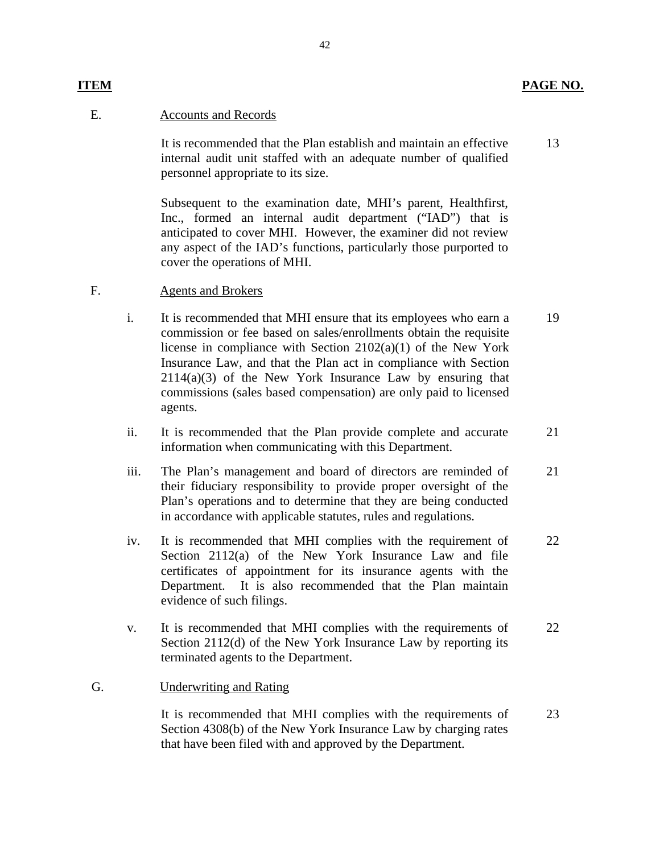13

#### E. Accounts and Records

It is recommended that the Plan establish and maintain an effective internal audit unit staffed with an adequate number of qualified personnel appropriate to its size.

Subsequent to the examination date, MHI's parent, Healthfirst, Inc., formed an internal audit department ("IAD") that is anticipated to cover MHI. However, the examiner did not review any aspect of the IAD's functions, particularly those purported to

# cover the operations of MHI.<br>F. Agents and Brokers

- i. It is recommended that MHI ensure that its employees who earn a commission or fee based on sales/enrollments obtain the requisite license in compliance with Section 2102(a)(1) of the New York Insurance Law, and that the Plan act in compliance with Section  $2114(a)(3)$  of the New York Insurance Law by ensuring that commissions (sales based compensation) are only paid to licensed agents. 19
- ii. It is recommended that the Plan provide complete and accurate information when communicating with this Department. 21
- iii. The Plan's management and board of directors are reminded of their fiduciary responsibility to provide proper oversight of the Plan's operations and to determine that they are being conducted in accordance with applicable statutes, rules and regulations. 21
- iv. It is recommended that MHI complies with the requirement of Section 2112(a) of the New York Insurance Law and file certificates of appointment for its insurance agents with the Department. It is also recommended that the Plan maintain evidence of such filings. 22
- v. It is recommended that MHI complies with the requirements of Section 2112(d) of the New York Insurance Law by reporting its terminated agents to the Department. 22

#### G. Underwriting and Rating

It is recommended that MHI complies with the requirements of Section 4308(b) of the New York Insurance Law by charging rates that have been filed with and approved by the Department. 23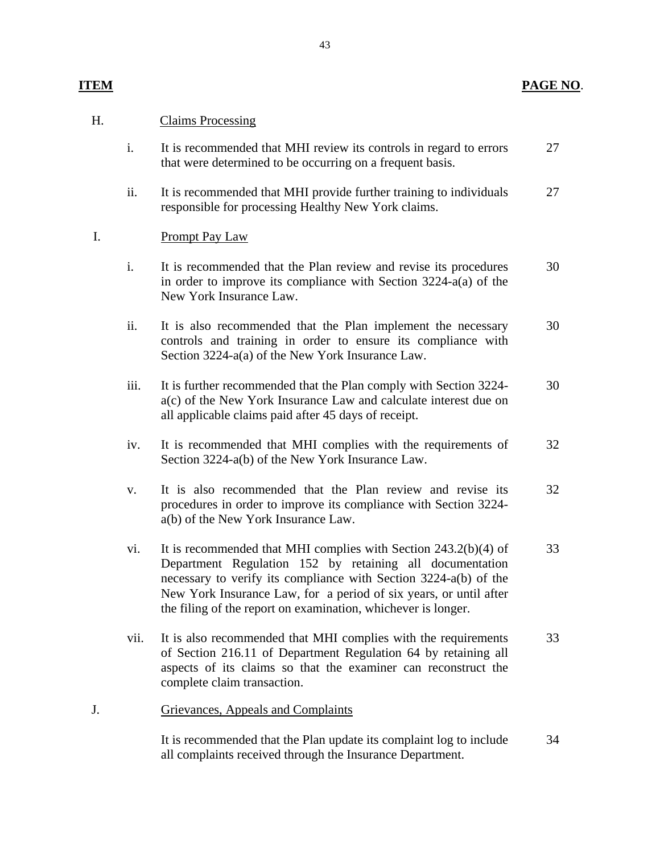#### **PAGE NO**.

# **ITEM**

# H. Claims Processing

- i. It is recommended that MHI review its controls in regard to errors that were determined to be occurring on a frequent basis. 27
- ii. It is recommended that MHI provide further training to individuals responsible for processing Healthy New York claims. 27

## Prompt Pay Law

- I. Prompt Pay Law<br>i. It is recommended that the Plan review and revise its procedures in order to improve its compliance with Section 3224-a(a) of the New York Insurance Law. 30
	- ii. It is also recommended that the Plan implement the necessary controls and training in order to ensure its compliance with Section 3224-a(a) of the New York Insurance Law. 30
	- iii. It is further recommended that the Plan comply with Section 3224 a(c) of the New York Insurance Law and calculate interest due on all applicable claims paid after 45 days of receipt. 30
	- iv. It is recommended that MHI complies with the requirements of Section 3224-a(b) of the New York Insurance Law. 32
	- v. It is also recommended that the Plan review and revise its procedures in order to improve its compliance with Section 3224 a(b) of the New York Insurance Law. 32
	- vi. It is recommended that MHI complies with Section 243.2(b)(4) of Department Regulation 152 by retaining all documentation necessary to verify its compliance with Section 3224-a(b) of the New York Insurance Law, for a period of six years, or until after the filing of the report on examination, whichever is longer. 33
	- vii. It is also recommended that MHI complies with the requirements of Section 216.11 of Department Regulation 64 by retaining all aspects of its claims so that the examiner can reconstruct the complete claim transaction. 33

### J. Grievances, Appeals and Complaints

It is recommended that the Plan update its complaint log to include all complaints received through the Insurance Department. 34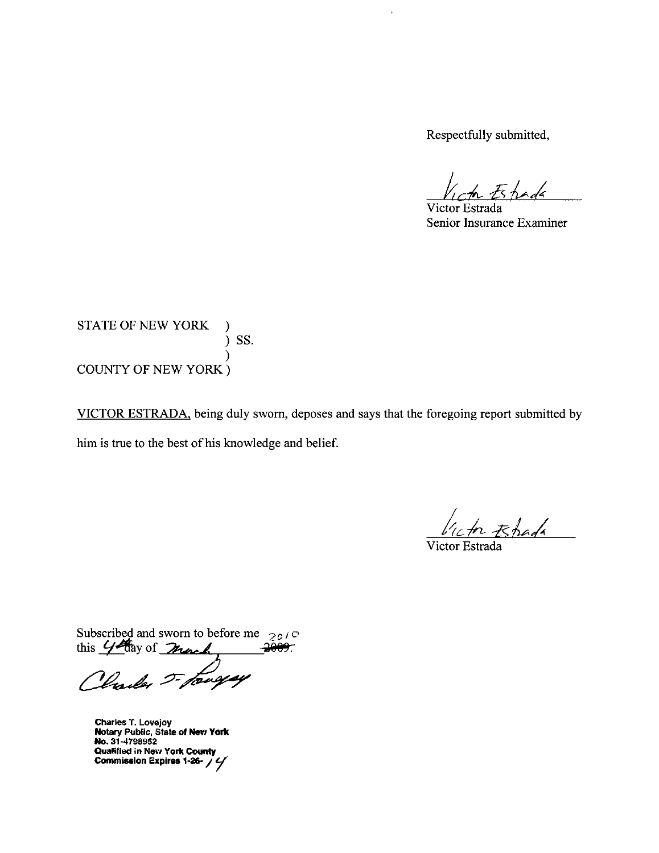Respectfully submitted,

ł

 $E$ hada

Victor Estrada Senior Insurance Examiner

STATE OF NEW YORK  $)$  SS.  $\mathcal{E}$ **COUNTY OF NEW YORK**)

VICTOR ESTRADA, being duly sworn, deposes and says that the foregoing report submitted by him is true to the best of his knowledge and belief.

In Espada

Victor Estrada

Subscribed and sworn to before me  $2010$ <br>this  $44$  day of means the 2009.

**Charles T. Lovejoy** Notary Public, State of New York<br>No. 31-4798952 Qualified in New York County Commission Expires 1-26- / 4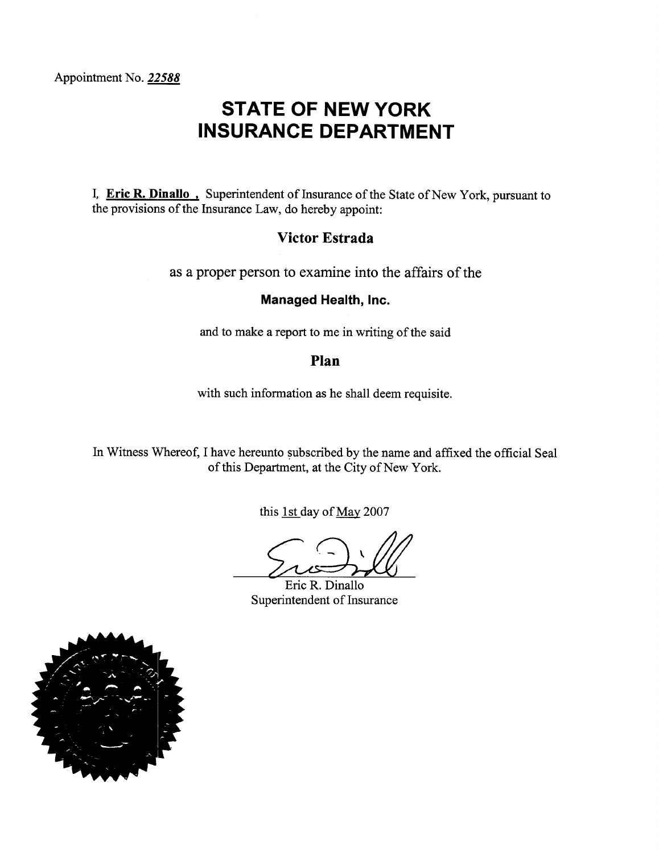# **STATE OF NEW YORK INSURANCE DEPARTMENT**

I. Eric R. Dinallo. Superintendent of Insurance of the State of New York, pursuant to the provisions of the Insurance Law, do hereby appoint:

# **Victor Estrada**

as a proper person to examine into the affairs of the

# Managed Health, Inc.

and to make a report to me in writing of the said

#### Plan

with such information as he shall deem requisite.

In Witness Whereof, I have hereunto subscribed by the name and affixed the official Seal of this Department, at the City of New York.

this 1st day of May 2007

Eric R. Dinallo Superintendent of Insurance

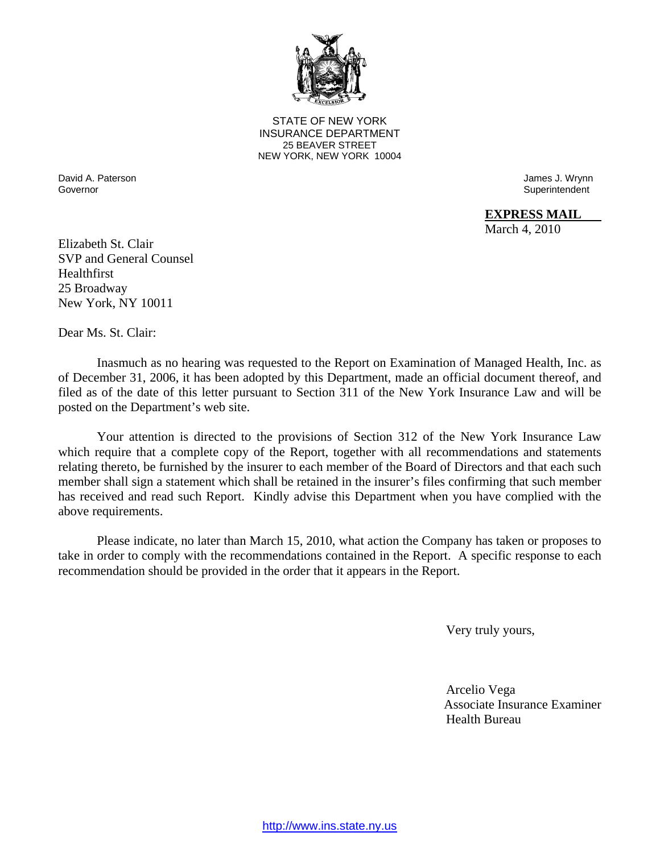

**25 BEAVER STREET** STATE OF NEW YORK INSURANCE DEPARTMENT NEW YORK, NEW YORK 10004

 David A. Paterson Governor

 James J. Wrynn **Superintendent** 

**EXPRESS MAIL** 

March 4, 2010

Elizabeth St. Clair SVP and General Counsel Healthfirst 25 Broadway New York, NY 10011

Dear Ms. St. Clair:

Inasmuch as no hearing was requested to the Report on Examination of Managed Health, Inc. as of December 31, 2006, it has been adopted by this Department, made an official document thereof, and filed as of the date of this letter pursuant to Section 311 of the New York Insurance Law and will be posted on the Department's web site.

Your attention is directed to the provisions of Section 312 of the New York Insurance Law which require that a complete copy of the Report, together with all recommendations and statements relating thereto, be furnished by the insurer to each member of the Board of Directors and that each such member shall sign a statement which shall be retained in the insurer's files confirming that such member has received and read such Report. Kindly advise this Department when you have complied with the above requirements.

Please indicate, no later than March 15, 2010, what action the Company has taken or proposes to take in order to comply with the recommendations contained in the Report. A specific response to each recommendation should be provided in the order that it appears in the Report.

Very truly yours,

 Arcelio Vega Associate Insurance Examiner Health Bureau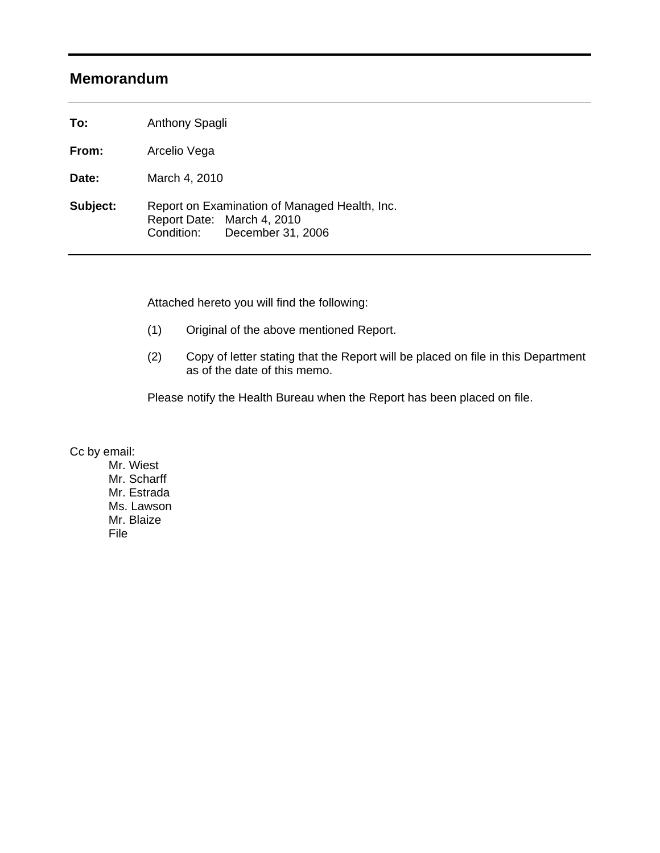# **Memorandum**

To: **To:** Anthony Spagli

From: **From:** Arcelio Vega

Date: **Date:** March 4, 2010

Subject: Report on Examination of Managed Health, Inc. Report Date: March 4, 2010 Condition: December 31, 2006

Attached hereto you will find the following:

- (1) Original of the above mentioned Report.
- (2) Copy of letter stating that the Report will be placed on file in this Department as of the date of this memo.

Please notify the Health Bureau when the Report has been placed on file.

Cc by email:

 Mr. Wiest Mr. Scharff Mr. Estrada Ms. Lawson Mr. Blaize File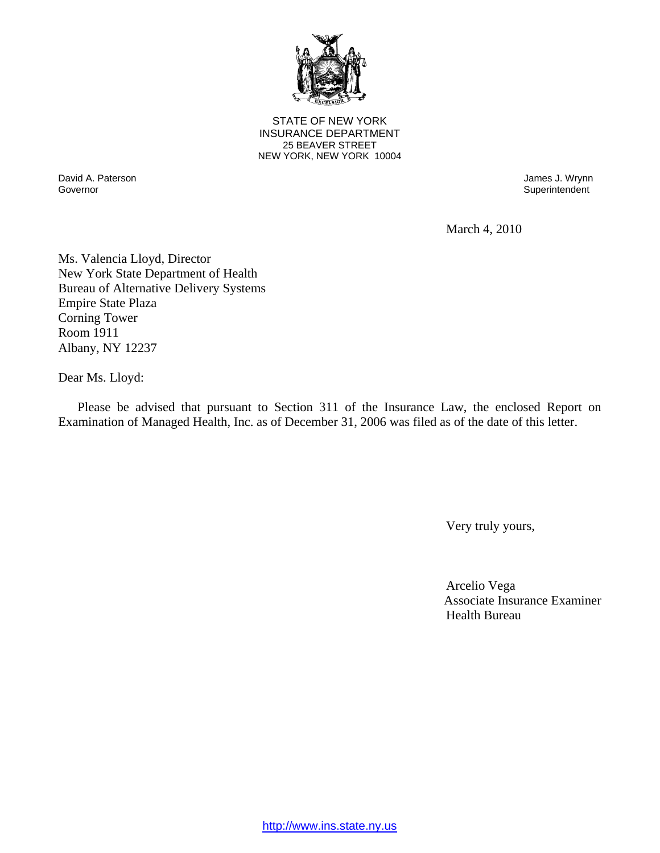

**25 BEAVER STREET** STATE OF NEW YORK INSURANCE DEPARTMENT NEW YORK, NEW YORK 10004

Governor David A. Paterson James J. Wrynn

Superintendent

March 4, 2010

Ms. Valencia Lloyd, Director New York State Department of Health Bureau of Alternative Delivery Systems Empire State Plaza Corning Tower Room 1911 Albany, NY 12237

Dear Ms. Lloyd:

Please be advised that pursuant to Section 311 of the Insurance Law, the enclosed Report on Examination of Managed Health, Inc. as of December 31, 2006 was filed as of the date of this letter.

Very truly yours,

 Arcelio Vega Associate Insurance Examiner Health Bureau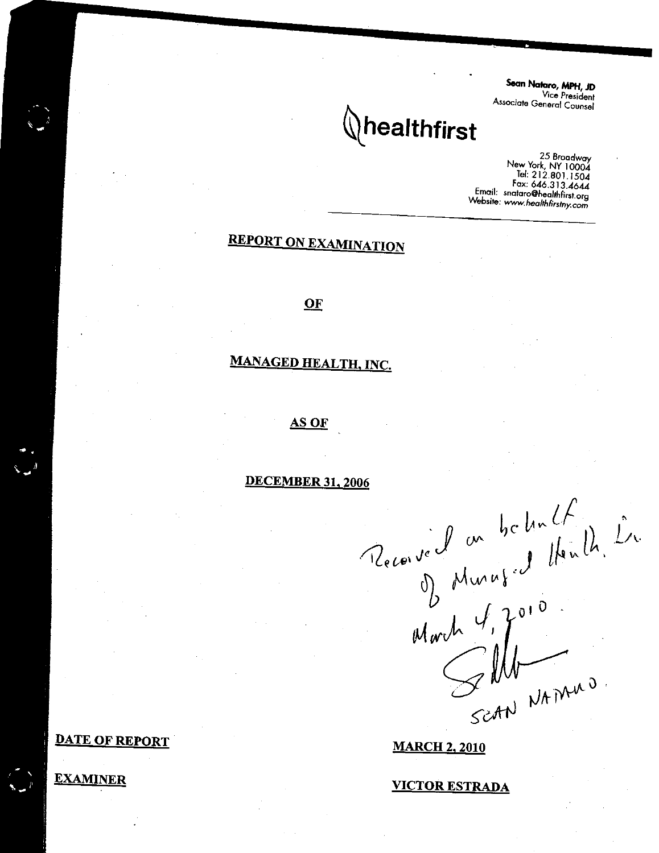Sean Nataro, MPH, JD Vice President Associate General Counsel

# $\langle \rangle$ healthfirst

25 Broadway New York, NY 10004 Fax: 646.313.4644 Email: snataro@healthfirst.org Website: www.healthfirstny.com

# **REPORT ON EXAMINATION**

#### OF

# **MANAGED HEALTH, INC.**

#### AS OF

**DECEMBER 31, 2006** 

Received on belief<br>D Murus d Henlin, Lr.<br>March J, Jord<br>Scarv NAMAD.<br>Scarv NAMAD.

**DATE OF REPORT** 

**EXAMINER** 

#### **MARCH 2, 2010**

**VICTOR ESTRADA**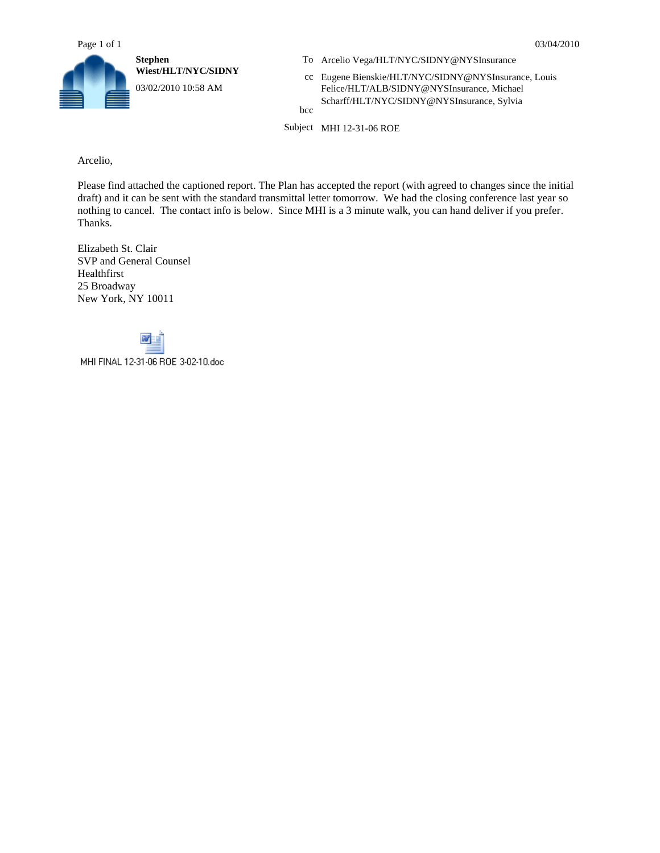

- 
- WIEST/INTERNATION **NEWSIDE EXAMPLE 1.1 AT CALCULATION** CC Eugene Bienskie/HLT/NYC/SIDNY@NYSInsurance, Louis Felice/HLT/ALB/SIDNY@NYSInsurance, Michael Felice/HLT/ALB/SIDNY@NYSInsurance, Michael Scharff/HLT/NYC/SIDNY@NYSInsurance, Sylvia

bcc

Subject MHI 12-31-06 ROE

Arcelio,

Please find attached the captioned report. The Plan has accepted the report (with agreed to changes since the initial draft) and it can be sent with the standard transmittal letter tomorrow. We had the closing conference last year so nothing to cancel. The contact info is below. Since MHI is a 3 minute walk, you can hand deliver if you prefer. Thanks.

Elizabeth St. Clair SVP and General Counsel Healthfirst 25 Broadway New York, NY 10011



MHI FINAL 12-31-06 ROE 3-02-10.doc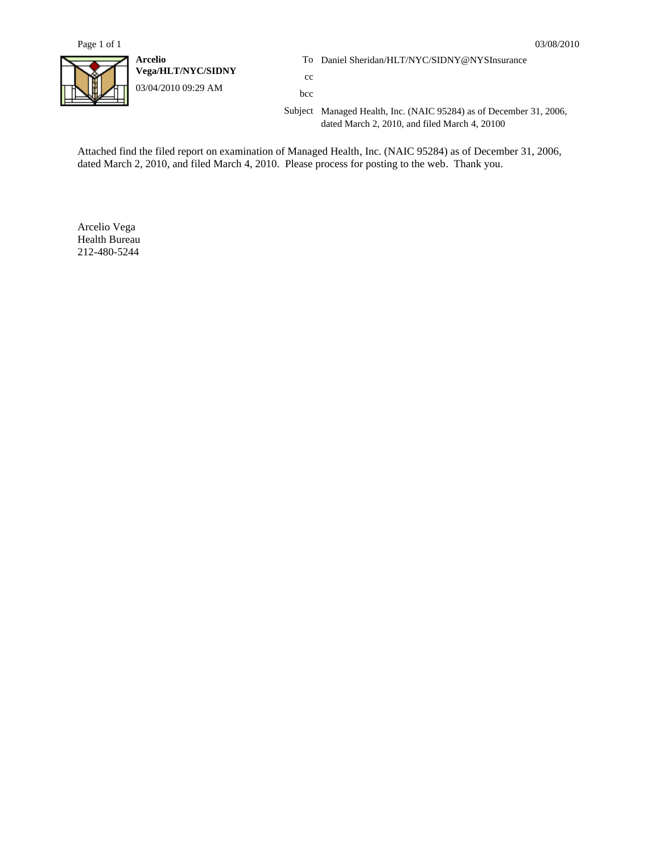

**Vega/HLT/NYC/SIDNY** cc 03/04/2010 09:29 AM bcc

**Arcelio** To Daniel Sheridan/HLT/NYC/SIDNY@NYSInsurance

Subject Managed Health, Inc. (NAIC 95284) as of December 31, 2006, dated March 2, 2010, and filed March 4, 20100

Attached find the filed report on examination of Managed Health, Inc. (NAIC 95284) as of December 31, 2006, dated March 2, 2010, and filed March 4, 2010. Please process for posting to the web. Thank you.

Arcelio Vega Health Bureau 212-480-5244